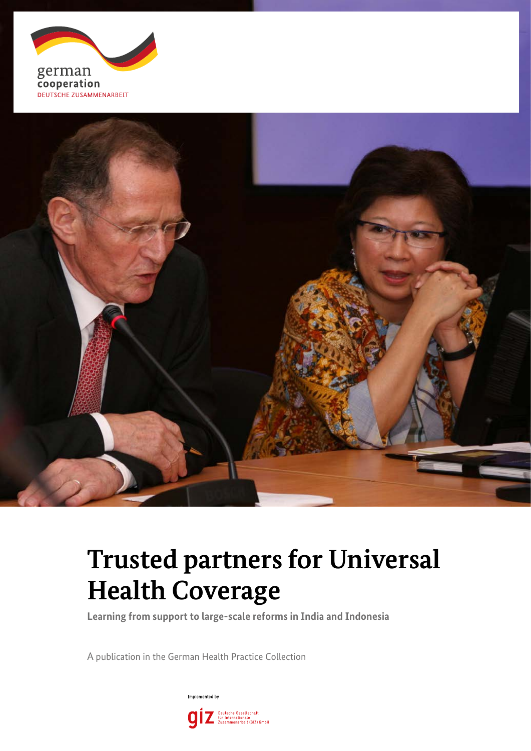



### **Trusted partners for Universal Health Coverage**

**Learning from support to large-scale reforms in India and Indonesia**

A publication in the German Health Practice Collection

Implemented by Deutsche Gesellschaft<br>für Internationale<br>Zusammenarbeit (GIZ) GmbH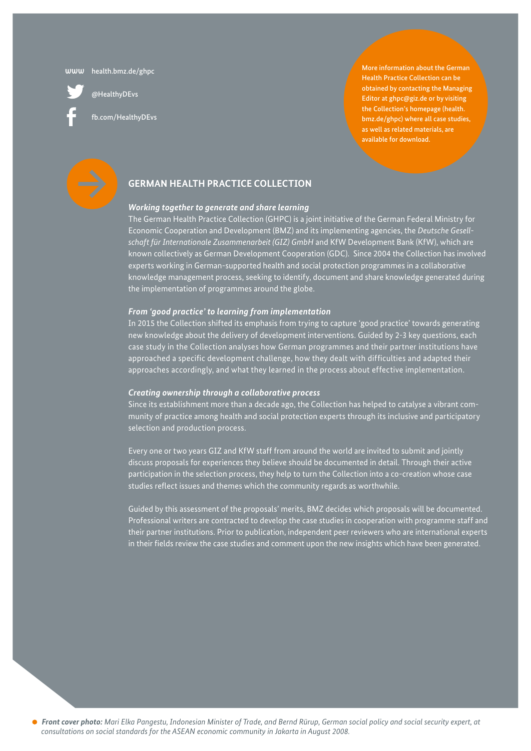[health.bmz.de/ghpc](http://health.bmz.de/ghpc/) **www**

[@HealthyDEvs](https://twitter.com/HealthyDEvs)

[fb.com/HealthyDEvs](https://www.facebook.com/HealthyDEvs/)

More information about the German Health Practice Collection can be obtained by contacting the Managing Editor at [ghpc@giz.de](mailto:ghpc%40giz.de?subject=German%20Health%20Practice%20Collection) or by visiting the Collection's homepage ([health.](http://health.bmz.de/ghpc/) [bmz.de/ghpc\)](http://health.bmz.de/ghpc/) where all case studies, as well as related materials, are available for download.



#### **GERMAN HEALTH PRACTICE COLLECTION**

#### *Working together to generate and share learning*

The German Health Practice Collection (GHPC) is a joint initiative of the German Federal Ministry for Economic Cooperation and Development (BMZ) and its implementing agencies, the *Deutsche Gesellschaft für Internationale Zusammenarbeit (GIZ) GmbH* and KfW Development Bank (KfW), which are known collectively as German Development Cooperation (GDC). Since 2004 the Collection has involved experts working in German-supported health and social protection programmes in a collaborative knowledge management process, seeking to identify, document and share knowledge generated during the implementation of programmes around the globe.

#### *From 'good practice' to learning from implementation*

In 2015 the Collection shifted its emphasis from trying to capture 'good practice' towards generating new knowledge about the delivery of development interventions. Guided by 2-3 key questions, each case study in the Collection analyses how German programmes and their partner institutions have approached a specific development challenge, how they dealt with difficulties and adapted their approaches accordingly, and what they learned in the process about effective implementation.

#### *Creating ownership through a collaborative process*

Since its establishment more than a decade ago, the Collection has helped to catalyse a vibrant community of practice among health and social protection experts through its inclusive and participatory selection and production process.

Every one or two years GIZ and KfW staff from around the world are invited to submit and jointly discuss proposals for experiences they believe should be documented in detail. Through their active participation in the selection process, they help to turn the Collection into a co-creation whose case studies reflect issues and themes which the community regards as worthwhile.

Guided by this assessment of the proposals' merits, BMZ decides which proposals will be documented. Professional writers are contracted to develop the case studies in cooperation with programme staff and their partner institutions. Prior to publication, independent peer reviewers who are international experts in their fields review the case studies and comment upon the new insights which have been generated.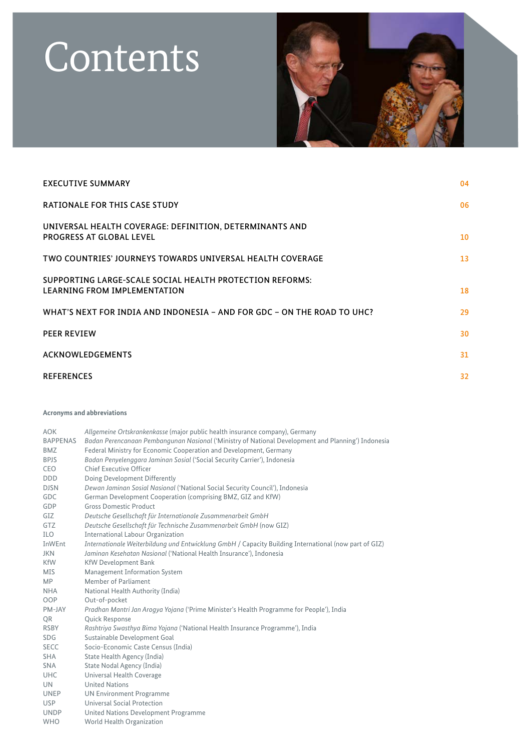### Contents



| <b>EXECUTIVE SUMMARY</b>                                                                        | 04 |
|-------------------------------------------------------------------------------------------------|----|
| <b>RATIONALE FOR THIS CASE STUDY</b>                                                            | 06 |
| UNIVERSAL HEALTH COVERAGE: DEFINITION, DETERMINANTS AND<br><b>PROGRESS AT GLOBAL LEVEL</b>      | 10 |
| TWO COUNTRIES' JOURNEYS TOWARDS UNIVERSAL HEALTH COVERAGE                                       | 13 |
| SUPPORTING LARGE-SCALE SOCIAL HEALTH PROTECTION REFORMS:<br><b>LEARNING FROM IMPLEMENTATION</b> | 18 |
| WHAT'S NEXT FOR INDIA AND INDONESIA – AND FOR GDC – ON THE ROAD TO UHC?                         | 29 |
| <b>PEER REVIEW</b>                                                                              | 30 |
| <b>ACKNOWLEDGEMENTS</b>                                                                         | 31 |
| <b>REFERENCES</b>                                                                               | 32 |

#### **Acronyms and abbreviations**

| <b>AOK</b>      | Allgemeine Ortskrankenkasse (major public health insurance company), Germany                          |
|-----------------|-------------------------------------------------------------------------------------------------------|
| <b>BAPPENAS</b> | Badan Perencanaan Pembangunan Nasional ('Ministry of National Development and Planning') Indonesia    |
| <b>BMZ</b>      | Federal Ministry for Economic Cooperation and Development, Germany                                    |
| <b>BPJS</b>     | Badan Penyelenggara Jaminan Sosial ('Social Security Carrier'), Indonesia                             |
| CEO             | Chief Executive Officer                                                                               |
| <b>DDD</b>      | Doing Development Differently                                                                         |
| <b>DJSN</b>     | Dewan Jaminan Sosial Nasional ('National Social Security Council'), Indonesia                         |
| GDC             | German Development Cooperation (comprising BMZ, GIZ and KfW)                                          |
| GDP             | <b>Gross Domestic Product</b>                                                                         |
| GIZ             | Deutsche Gesellschaft für Internationale Zusammenarbeit GmbH                                          |
| GTZ             | Deutsche Gesellschaft für Technische Zusammenarbeit GmbH (now GIZ)                                    |
| ILO             | International Labour Organization                                                                     |
| <b>InWEnt</b>   | Internationale Weiterbildung und Entwicklung GmbH / Capacity Building International (now part of GIZ) |
| <b>JKN</b>      | Jaminan Kesehatan Nasional ('National Health Insurance'), Indonesia                                   |
| <b>KfW</b>      | <b>KfW Development Bank</b>                                                                           |
| <b>MIS</b>      | Management Information System                                                                         |
| <b>MP</b>       | Member of Parliament                                                                                  |
| <b>NHA</b>      | National Health Authority (India)                                                                     |
| OOP             | Out-of-pocket                                                                                         |
| PM-JAY          | Pradhan Mantri Jan Arogya Yojana ('Prime Minister's Health Programme for People'), India              |
| QR              | Quick Response                                                                                        |
| <b>RSBY</b>     | Rashtriya Swasthya Bima Yojana ('National Health Insurance Programme'), India                         |
| SDG             | Sustainable Development Goal                                                                          |
| <b>SECC</b>     | Socio-Economic Caste Census (India)                                                                   |
| <b>SHA</b>      | State Health Agency (India)                                                                           |
| <b>SNA</b>      | State Nodal Agency (India)                                                                            |
| <b>UHC</b>      | Universal Health Coverage                                                                             |
| <b>UN</b>       | <b>United Nations</b>                                                                                 |
| <b>UNEP</b>     | <b>UN Environment Programme</b>                                                                       |
| <b>USP</b>      | Universal Social Protection                                                                           |
| <b>UNDP</b>     | United Nations Development Programme                                                                  |
| <b>WHO</b>      | World Health Organization                                                                             |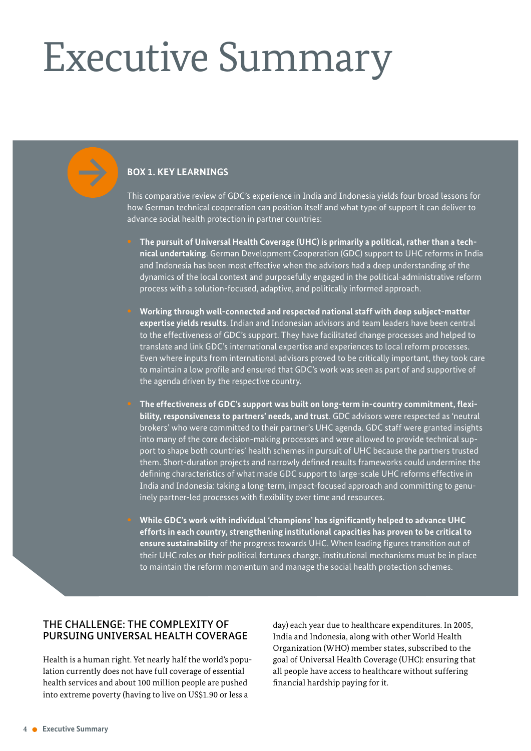# <span id="page-3-0"></span>Executive Summary

#### **BOX 1. KEY LEARNINGS**

This comparative review of GDC's experience in India and Indonesia yields four broad lessons for how German technical cooperation can position itself and what type of support it can deliver to advance social health protection in partner countries:

**• The pursuit of Universal Health Coverage (UHC) is primarily a political, rather than a technical undertaking**. German Development Cooperation (GDC) support to UHC reforms in India and Indonesia has been most effective when the advisors had a deep understanding of the dynamics of the local context and purposefully engaged in the political-administrative reform process with a solution-focused, adaptive, and politically informed approach.

**• Working through well-connected and respected national staff with deep subject-matter expertise yields results**. Indian and Indonesian advisors and team leaders have been central to the effectiveness of GDC's support. They have facilitated change processes and helped to translate and link GDC's international expertise and experiences to local reform processes. Even where inputs from international advisors proved to be critically important, they took care to maintain a low profile and ensured that GDC's work was seen as part of and supportive of the agenda driven by the respective country.

**• The effectiveness of GDC's support was built on long-term in-country commitment, flexibility, responsiveness to partners' needs, and trust**. GDC advisors were respected as 'neutral brokers' who were committed to their partner's UHC agenda. GDC staff were granted insights into many of the core decision-making processes and were allowed to provide technical support to shape both countries' health schemes in pursuit of UHC because the partners trusted them. Short-duration projects and narrowly defined results frameworks could undermine the defining characteristics of what made GDC support to large-scale UHC reforms effective in India and Indonesia: taking a long-term, impact-focused approach and committing to genuinely partner-led processes with flexibility over time and resources.

**• While GDC's work with individual 'champions' has significantly helped to advance UHC efforts in each country, strengthening institutional capacities has proven to be critical to ensure sustainability** of the progress towards UHC. When leading figures transition out of their UHC roles or their political fortunes change, institutional mechanisms must be in place to maintain the reform momentum and manage the social health protection schemes.

#### THE CHALLENGE: THE COMPLEXITY OF PURSUING UNIVERSAL HEALTH COVERAGE

Health is a human right. Yet nearly half the world's population currently does not have full coverage of essential health services and about 100 million people are pushed into extreme poverty (having to live on US\$1.90 or less a

day) each year due to healthcare expenditures. In 2005, India and Indonesia, along with other World Health Organization (WHO) member states, subscribed to the goal of Universal Health Coverage (UHC): ensuring that all people have access to healthcare without suffering financial hardship paying for it.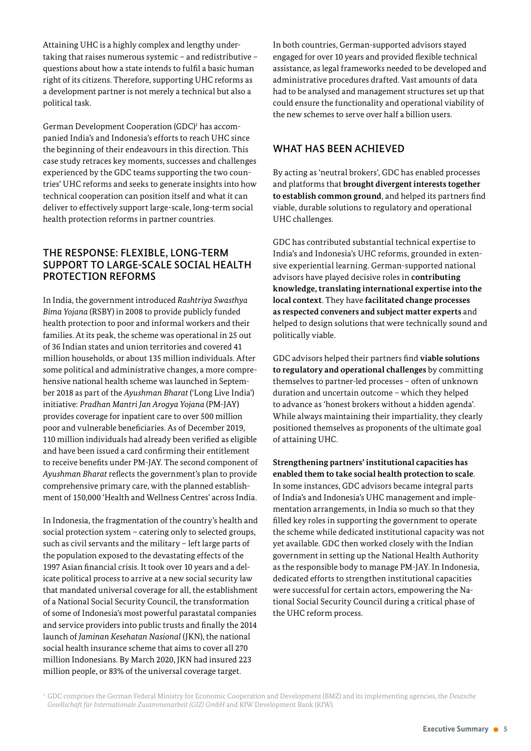Attaining UHC is a highly complex and lengthy undertaking that raises numerous systemic – and redistributive – questions about how a state intends to fulfil a basic human right of its citizens. Therefore, supporting UHC reforms as a development partner is not merely a technical but also a political task.

German Development Cooperation (GDC)<sup>1</sup> has accompanied India's and Indonesia's efforts to reach UHC since the beginning of their endeavours in this direction. This case study retraces key moments, successes and challenges experienced by the GDC teams supporting the two countries' UHC reforms and seeks to generate insights into how technical cooperation can position itself and what it can deliver to effectively support large-scale, long-term social health protection reforms in partner countries.

#### THE RESPONSE: FLEXIBLE, LONG-TERM SUPPORT TO LARGE-SCALE SOCIAL HEALTH PROTECTION REFORMS

In India, the government introduced *Rashtriya Swasthya Bima Yojana* (RSBY) in 2008 to provide publicly funded health protection to poor and informal workers and their families. At its peak, the scheme was operational in 25 out of 36 Indian states and union territories and covered 41 million households, or about 135 million individuals. After some political and administrative changes, a more comprehensive national health scheme was launched in September 2018 as part of the *Ayushman Bharat* ('Long Live India') initiative: *Pradhan Mantri Jan Arogya Yojana* (PMJAY) provides coverage for inpatient care to over 500 million poor and vulnerable beneficiaries. As of December 2019, 110 million individuals had already been verified as eligible and have been issued a card confirming their entitlement to receive benefits under PM-JAY. The second component of *Ayushman Bharat* reflects the government's plan to provide comprehensive primary care, with the planned establishment of 150,000 'Health and Wellness Centres' across India.

In Indonesia, the fragmentation of the country's health and social protection system – catering only to selected groups, such as civil servants and the military – left large parts of the population exposed to the devastating effects of the 1997 Asian financial crisis. It took over 10 years and a delicate political process to arrive at a new social security law that mandated universal coverage for all, the establishment of a National Social Security Council, the transformation of some of Indonesia's most powerful parastatal companies and service providers into public trusts and finally the 2014 launch of *Jaminan Kesehatan Nasional* (JKN), the national social health insurance scheme that aims to cover all 270 million Indonesians. By March 2020, JKN had insured 223 million people, or 83% of the universal coverage target.

In both countries, German-supported advisors stayed engaged for over 10 years and provided flexible technical assistance, as legal frameworks needed to be developed and administrative procedures drafted. Vast amounts of data had to be analysed and management structures set up that could ensure the functionality and operational viability of the new schemes to serve over half a billion users.

### WHAT HAS BEEN ACHIEVED

By acting as 'neutral brokers', GDC has enabled processes and platforms that **brought divergent interests together to establish common ground**, and helped its partners find viable, durable solutions to regulatory and operational UHC challenges.

GDC has contributed substantial technical expertise to India's and Indonesia's UHC reforms, grounded in extensive experiential learning. German-supported national advisors have played decisive roles in **contributing knowledge, translating international expertise into the local context**. They have **facilitated change processes as respected conveners and subject matter experts** and helped to design solutions that were technically sound and politically viable.

GDC advisors helped their partners find **viable solutions to regulatory and operational challenges** by committing themselves to partner-led processes - often of unknown duration and uncertain outcome – which they helped to advance as 'honest brokers without a hidden agenda'. While always maintaining their impartiality, they clearly positioned themselves as proponents of the ultimate goal of attaining UHC.

**Strengthening partners' institutional capacities has enabled them to take social health protection to scale**. In some instances, GDC advisors became integral parts of India's and Indonesia's UHC management and implementation arrangements, in India so much so that they filled key roles in supporting the government to operate the scheme while dedicated institutional capacity was not yet available. GDC then worked closely with the Indian government in setting up the National Health Authority as the responsible body to manage PM-JAY. In Indonesia, dedicated efforts to strengthen institutional capacities were successful for certain actors, empowering the National Social Security Council during a critical phase of the UHC reform process.

<sup>1</sup>GDC comprises the German Federal Ministry for Economic Cooperation and Development (BMZ) and its implementing agencies, the *Deutsche Gesellschaft für Internationale Zusammenarbeit (GIZ) GmbH* and KfW Development Bank (KfW).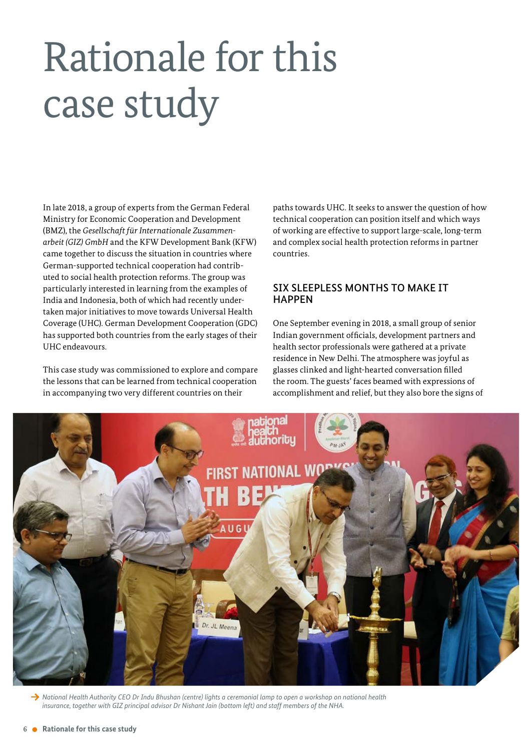# <span id="page-5-0"></span>Rationale for this case study

In late 2018, a group of experts from the German Federal Ministry for Economic Cooperation and Development (BMZ), the *Gesellschaft für Internationale Zusammenarbeit (GIZ) GmbH* and the KFW Development Bank (KFW) came together to discuss the situation in countries where German-supported technical cooperation had contributed to social health protection reforms. The group was particularly interested in learning from the examples of India and Indonesia, both of which had recently undertaken major initiatives to move towards Universal Health Coverage (UHC). German Development Cooperation (GDC) has supported both countries from the early stages of their UHC endeavours.

This case study was commissioned to explore and compare the lessons that can be learned from technical cooperation in accompanying two very different countries on their

paths towards UHC. It seeks to answer the question of how technical cooperation can position itself and which ways of working are effective to support large-scale, long-term and complex social health protection reforms in partner countries.

#### SIX SLEEPLESS MONTHS TO MAKE IT **HAPPEN**

One September evening in 2018, a small group of senior Indian government officials, development partners and health sector professionals were gathered at a private residence in New Delhi. The atmosphere was joyful as glasses clinked and light-hearted conversation filled the room. The guests' faces beamed with expressions of accomplishment and relief, but they also bore the signs of



→ National Health Authority CEO Dr Indu Bhushan (centre) lights a ceremonial lamp to open a workshop on national health *insurance, together with GIZ principal advisor Dr Nishant Jain (bottom left) and staff members of the NHA.*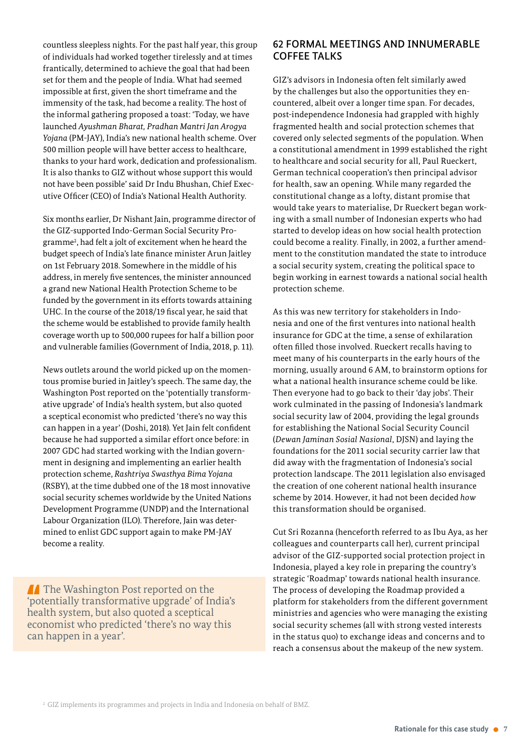countless sleepless nights. For the past half year, this group of individuals had worked together tirelessly and at times frantically, determined to achieve the goal that had been set for them and the people of India. What had seemed impossible at first, given the short timeframe and the immensity of the task, had become a reality. The host of the informal gathering proposed a toast: 'Today, we have launched *Ayushman Bharat, Pradhan Mantri Jan Arogya Yojana* (PM-JAY), India's new national health scheme. Over 500 million people will have better access to healthcare, thanks to your hard work, dedication and professionalism. It is also thanks to GIZ without whose support this would not have been possible' said Dr Indu Bhushan, Chief Executive Officer (CEO) of India's National Health Authority.

Six months earlier, Dr Nishant Jain, programme director of the GIZ-supported Indo-German Social Security Programme<sup>2</sup> , had felt a jolt of excitement when he heard the budget speech of India's late finance minister Arun Jaitley on 1st February 2018. Somewhere in the middle of his address, in merely five sentences, the minister announced a grand new National Health Protection Scheme to be funded by the government in its efforts towards attaining UHC. In the course of the 2018/19 fiscal year, he said that the scheme would be established to provide family health coverage worth up to 500,000 rupees for half a billion poor and vulnerable families (Government of India, 2018, p. 11).

News outlets around the world picked up on the momentous promise buried in Jaitley's speech. The same day, the Washington Post reported on the 'potentially transformative upgrade' of India's health system, but also quoted a sceptical economist who predicted 'there's no way this can happen in a year' (Doshi, 2018). Yet Jain felt confident because he had supported a similar effort once before: in 2007 GDC had started working with the Indian government in designing and implementing an earlier health protection scheme, *Rashtriya Swasthya Bima Yojana* (RSBY), at the time dubbed one of the 18 most innovative social security schemes worldwide by the United Nations Development Programme (UNDP) and the International Labour Organization (ILO). Therefore, Jain was determined to enlist GDC support again to make PMJAY become a reality.

**The Washington Post reported on the** 'potentially transformative upgrade' of India's health system, but also quoted a sceptical economist who predicted 'there's no way this can happen in a year'.

#### 62 FORMAL MEETINGS AND INNUMERABLE COFFEE TALKS

GIZ's advisors in Indonesia often felt similarly awed by the challenges but also the opportunities they encountered, albeit over a longer time span. For decades, post-independence Indonesia had grappled with highly fragmented health and social protection schemes that covered only selected segments of the population. When a constitutional amendment in 1999 established the right to healthcare and social security for all, Paul Rueckert, German technical cooperation's then principal advisor for health, saw an opening. While many regarded the constitutional change as a lofty, distant promise that would take years to materialise, Dr Rueckert began working with a small number of Indonesian experts who had started to develop ideas on how social health protection could become a reality. Finally, in 2002, a further amendment to the constitution mandated the state to introduce a social security system, creating the political space to begin working in earnest towards a national social health protection scheme.

As this was new territory for stakeholders in Indonesia and one of the first ventures into national health insurance for GDC at the time, a sense of exhilaration often filled those involved. Rueckert recalls having to meet many of his counterparts in the early hours of the morning, usually around 6 AM, to brainstorm options for what a national health insurance scheme could be like. Then everyone had to go back to their 'day jobs'. Their work culminated in the passing of Indonesia's landmark social security law of 2004, providing the legal grounds for establishing the National Social Security Council (*Dewan Jaminan Sosial Nasional*, DJSN) and laying the foundations for the 2011 social security carrier law that did away with the fragmentation of Indonesia's social protection landscape. The 2011 legislation also envisaged the creation of one coherent national health insurance scheme by 2014. However, it had not been decided *how* this transformation should be organised.

Cut Sri Rozanna (henceforth referred to as Ibu Aya, as her colleagues and counterparts call her), current principal advisor of the GIZ-supported social protection project in Indonesia, played a key role in preparing the country's strategic 'Roadmap' towards national health insurance. The process of developing the Roadmap provided a platform for stakeholders from the different government ministries and agencies who were managing the existing social security schemes (all with strong vested interests in the status quo) to exchange ideas and concerns and to reach a consensus about the makeup of the new system.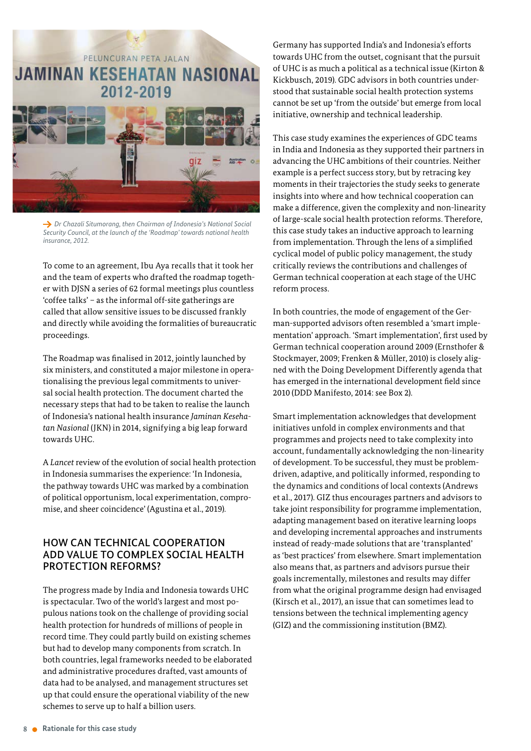

→ *Dr Chazali Situmorang, then Chairman of Indonesia's National Social Security Council, at the launch of the 'Roadmap' towards national health insurance, 2012.* 

To come to an agreement, Ibu Aya recalls that it took her and the team of experts who drafted the roadmap together with DJSN a series of 62 formal meetings plus countless 'coffee talks' – as the informal off-site gatherings are called that allow sensitive issues to be discussed frankly and directly while avoiding the formalities of bureaucratic proceedings.

The Roadmap was finalised in 2012, jointly launched by six ministers, and constituted a major milestone in operationalising the previous legal commitments to universal social health protection. The document charted the necessary steps that had to be taken to realise the launch of Indonesia's national health insurance *Jaminan Kesehatan Nasional* (JKN) in 2014, signifying a big leap forward towards UHC.

A *Lancet* review of the evolution of social health protection in Indonesia summarises the experience: 'In Indonesia, the pathway towards UHC was marked by a combination of political opportunism, local experimentation, compromise, and sheer coincidence' (Agustina et al., 2019).

#### HOW CAN TECHNICAL COOPERATION ADD VALUE TO COMPLEX SOCIAL HEALTH PROTECTION REFORMS?

The progress made by India and Indonesia towards UHC is spectacular. Two of the world's largest and most populous nations took on the challenge of providing social health protection for hundreds of millions of people in record time. They could partly build on existing schemes but had to develop many components from scratch. In both countries, legal frameworks needed to be elaborated and administrative procedures drafted, vast amounts of data had to be analysed, and management structures set up that could ensure the operational viability of the new schemes to serve up to half a billion users.

Germany has supported India's and Indonesia's efforts towards UHC from the outset, cognisant that the pursuit of UHC is as much a political as a technical issue (Kirton & Kickbusch, 2019). GDC advisors in both countries understood that sustainable social health protection systems cannot be set up 'from the outside' but emerge from local initiative, ownership and technical leadership.

This case study examines the experiences of GDC teams in India and Indonesia as they supported their partners in advancing the UHC ambitions of their countries. Neither example is a perfect success story, but by retracing key moments in their trajectories the study seeks to generate insights into where and how technical cooperation can make a difference, given the complexity and non-linearity of large-scale social health protection reforms. Therefore, this case study takes an inductive approach to learning from implementation. Through the lens of a simplified cyclical model of public policy management, the study critically reviews the contributions and challenges of German technical cooperation at each stage of the UHC reform process.

In both countries, the mode of engagement of the German-supported advisors often resembled a 'smart implementation' approach. 'Smart implementation', first used by German technical cooperation around 2009 (Ernsthofer & Stockmayer, 2009; Frenken & Müller, 2010) is closely aligned with the Doing Development Differently agenda that has emerged in the international development field since 2010 (DDD Manifesto, 2014: see Box 2).

Smart implementation acknowledges that development initiatives unfold in complex environments and that programmes and projects need to take complexity into account, fundamentally acknowledging the non-linearity of development. To be successful, they must be problemdriven, adaptive, and politically informed, responding to the dynamics and conditions of local contexts (Andrews et al., 2017). GIZ thus encourages partners and advisors to take joint responsibility for programme implementation, adapting management based on iterative learning loops and developing incremental approaches and instruments instead of ready-made solutions that are 'transplanted' as 'best practices' from elsewhere. Smart implementation also means that, as partners and advisors pursue their goals incrementally, milestones and results may differ from what the original programme design had envisaged (Kirsch et al., 2017), an issue that can sometimes lead to tensions between the technical implementing agency (GIZ) and the commissioning institution (BMZ).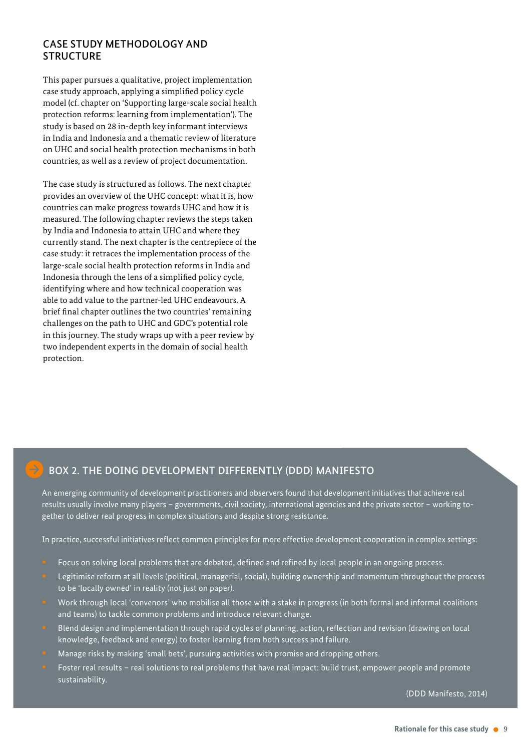#### CASE STUDY METHODOLOGY AND **STRUCTURE**

This paper pursues a qualitative, project implementation case study approach, applying a simplified policy cycle model (cf. chapter on 'Supporting large-scale social health protection reforms: learning from implementation'). The study is based on 28 in-depth key informant interviews in India and Indonesia and a thematic review of literature on UHC and social health protection mechanisms in both countries, as well as a review of project documentation.

The case study is structured as follows. The next chapter provides an overview of the UHC concept: what it is, how countries can make progress towards UHC and how it is measured. The following chapter reviews the steps taken by India and Indonesia to attain UHC and where they currently stand. The next chapter is the centrepiece of the case study: it retraces the implementation process of the large-scale social health protection reforms in India and Indonesia through the lens of a simplified policy cycle, identifying where and how technical cooperation was able to add value to the partner-led UHC endeavours. A brief final chapter outlines the two countries' remaining challenges on the path to UHC and GDC's potential role in this journey. The study wraps up with a peer review by two independent experts in the domain of social health protection.

### BOX 2. THE DOING DEVELOPMENT DIFFERENTLY (DDD) MANIFESTO

An emerging community of development practitioners and observers found that development initiatives that achieve real results usually involve many players - governments, civil society, international agencies and the private sector - working together to deliver real progress in complex situations and despite strong resistance.

In practice, successful initiatives reflect common principles for more effective development cooperation in complex settings:

- Focus on solving local problems that are debated, defined and refined by local people in an ongoing process.
- Legitimise reform at all levels (political, managerial, social), building ownership and momentum throughout the process to be 'locally owned' in reality (not just on paper).
- Work through local 'convenors' who mobilise all those with a stake in progress (in both formal and informal coalitions and teams) to tackle common problems and introduce relevant change.
- Blend design and implementation through rapid cycles of planning, action, reflection and revision (drawing on local knowledge, feedback and energy) to foster learning from both success and failure.
- Manage risks by making 'small bets', pursuing activities with promise and dropping others.
- Foster real results real solutions to real problems that have real impact: build trust, empower people and promote sustainability.

(DDD Manifesto, 2014)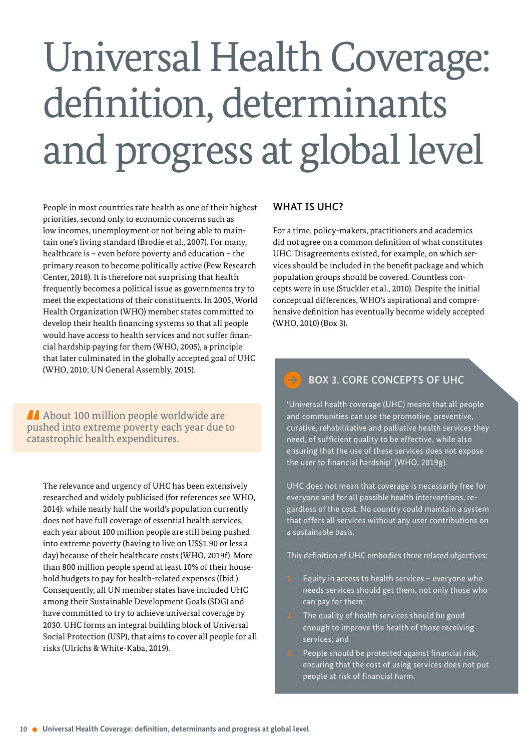# <span id="page-9-0"></span>Universal Health Coverage: definition, determinants and progress at global level

People in most countries rate health as one of their highest priorities, second only to economic concerns such as low incomes, unemployment or not being able to maintain one's living standard (Brodie et al., 2007). For many, healthcare is – even before poverty and education – the primary reason to become politically active (Pew Research Center, 2018). It is therefore not surprising that health frequently becomes a political issue as governments try to meet the expectations of their constituents. In 2005, World Health Organization (WHO) member states committed to develop their health financing systems so that all people would have access to health services and not suffer financial hardship paying for them (WHO, 2005), a principle that later culminated in the globally accepted goal of UHC (WHO, 2010; UN General Assembly, 2015).

About 100 million people worldwide are pushed into extreme poverty each year due to catastrophic health expenditures.

The relevance and urgency of UHC has been extensively researched and widely publicised (for references see WHO, 2014): while nearly half the world's population currently does not have full coverage of essential health services, each year about 100 million people are still being pushed into extreme poverty (having to live on US\$1.90 or less a day) because of their healthcare costs (WHO, 2019f). More than 800 million people spend at least 10% of their household budgets to pay for health-related expenses (Ibid.). Consequently, all UN member states have included UHC among their Sustainable Development Goals (SDG) and have committed to try to achieve universal coverage by 2030. UHC forms an integral building block of Universal Social Protection (USP), that aims to cover all people for all risks (Ulrichs & White-Kaba, 2019).

#### WHAT IS UHC?

For a time, policy-makers, practitioners and academics did not agree on a common definition of what constitutes UHC. Disagreements existed, for example, on which services should be included in the benefit package and which population groups should be covered. Countless concepts were in use (Stuckler et al., 2010). Despite the initial conceptual differences, WHO's aspirational and comprehensive definition has eventually become widely accepted (WHO, 2010) (Box 3).

### BOX 3. CORE CONCEPTS OF UHC

'Universal health coverage (UHC) means that all people and communities can use the promotive, preventive, curative, rehabilitative and palliative health services they need, of sufficient quality to be effective, while also ensuring that the use of these services does not expose the user to financial hardship' (WHO, 2019g).

UHC does not mean that coverage is necessarily free for everyone and for all possible health interventions, regardless of the cost. No country could maintain a system that offers all services without any user contributions on a sustainable basis.

This definition of UHC embodies three related objectives:

- Equity in access to health services  $-$  everyone who needs services should get them, not only those who can pay for them;
- The quality of health services should be good enough to improve the health of those receiving services; and
- People should be protected against financial risk, ensuring that the cost of using services does not put people at risk of financial harm.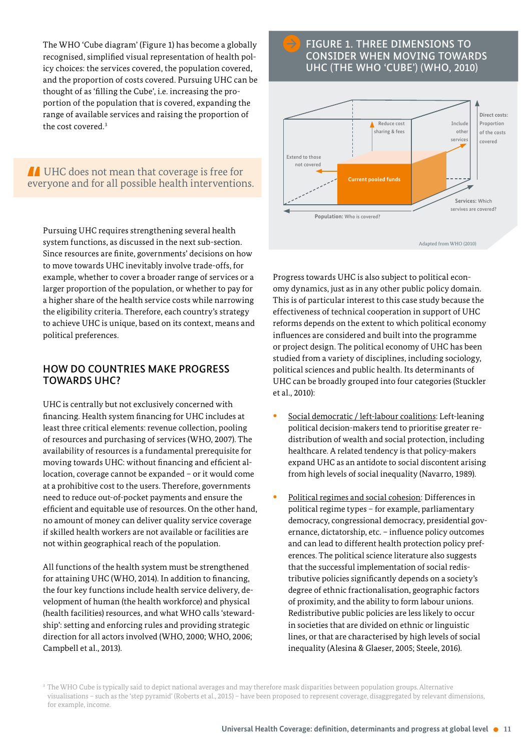The WHO 'Cube diagram' (Figure 1) has become a globally recognised, simplified visual representation of health policy choices: the services covered, the population covered, and the proportion of costs covered. Pursuing UHC can be thought of as 'filling the Cube', i.e. increasing the proportion of the population that is covered, expanding the range of available services and raising the proportion of the cost covered.<sup>3</sup>

**IF UHC does not mean that coverage is free for** everyone and for all possible health interventions.

Pursuing UHC requires strengthening several health system functions, as discussed in the next sub-section. Since resources are finite, governments' decisions on how to move towards UHC inevitably involve trade-offs, for example, whether to cover a broader range of services or a larger proportion of the population, or whether to pay for a higher share of the health service costs while narrowing the eligibility criteria. Therefore, each country's strategy to achieve UHC is unique, based on its context, means and political preferences.

#### HOW DO COUNTRIES MAKE PROGRESS TOWARDS UHC?

UHC is centrally but not exclusively concerned with financing. Health system financing for UHC includes at least three critical elements: revenue collection, pooling of resources and purchasing of services (WHO, 2007). The availability of resources is a fundamental prerequisite for moving towards UHC: without financing and efficient allocation, coverage cannot be expanded – or it would come at a prohibitive cost to the users. Therefore, governments need to reduce out-of-pocket payments and ensure the efficient and equitable use of resources. On the other hand, no amount of money can deliver quality service coverage if skilled health workers are not available or facilities are not within geographical reach of the population.

All functions of the health system must be strengthened for attaining UHC (WHO, 2014). In addition to financing, the four key functions include health service delivery, development of human (the health workforce) and physical (health facilities) resources, and what WHO calls 'stewardship': setting and enforcing rules and providing strategic direction for all actors involved (WHO, 2000; WHO, 2006; Campbell et al., 2013).

#### FIGURE 1. THREE DIMENSIONS TO CONSIDER WHEN MOVING TOWARDS UHC (THE WHO 'CUBE') (WHO, 2010)



Progress towards UHC is also subject to political economy dynamics, just as in any other public policy domain. This is of particular interest to this case study because the effectiveness of technical cooperation in support of UHC reforms depends on the extent to which political economy influences are considered and built into the programme or project design. The political economy of UHC has been studied from a variety of disciplines, including sociology, political sciences and public health. Its determinants of UHC can be broadly grouped into four categories (Stuckler et al., 2010):

- **Social democratic / left-labour coalitions: Left-leaning** political decision-makers tend to prioritise greater redistribution of wealth and social protection, including healthcare. A related tendency is that policy-makers expand UHC as an antidote to social discontent arising from high levels of social inequality (Navarro, 1989).
- Political regimes and social cohesion: Differences in political regime types – for example, parliamentary democracy, congressional democracy, presidential governance, dictatorship, etc. – influence policy outcomes and can lead to different health protection policy preferences. The political science literature also suggests that the successful implementation of social redistributive policies significantly depends on a society's degree of ethnic fractionalisation, geographic factors of proximity, and the ability to form labour unions. Redistributive public policies are less likely to occur in societies that are divided on ethnic or linguistic lines, or that are characterised by high levels of social inequality (Alesina & Glaeser, 2005; Steele, 2016).

<sup>&</sup>lt;sup>3</sup> The WHO Cube is typically said to depict national averages and may therefore mask disparities between population groups. Alternative visualisations – such as the 'step pyramid' (Roberts et al., 2015) – have been proposed to represent coverage, disaggregated by relevant dimensions, for example, income.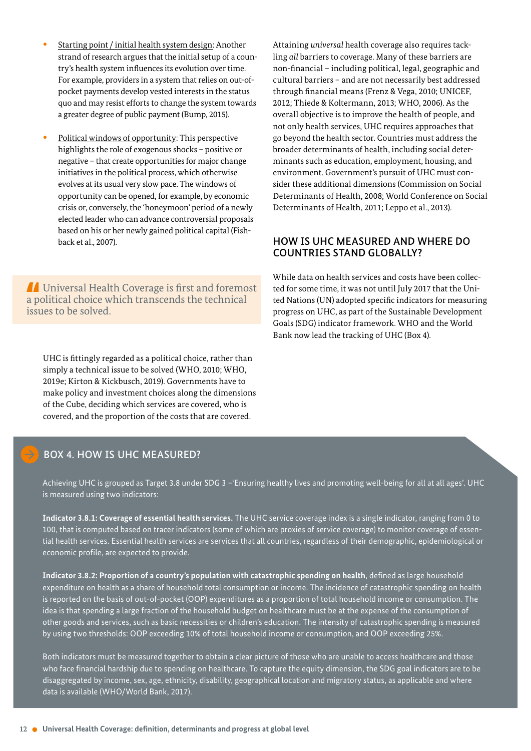- Starting point / initial health system design: Another strand of research argues that the initial setup of a country's health system influences its evolution over time. For example, providers in a system that relies on out-ofpocket payments develop vested interests in the status quo and may resist efforts to change the system towards a greater degree of public payment (Bump, 2015).
- Political windows of opportunity: This perspective highlights the role of exogenous shocks – positive or negative – that create opportunities for major change initiatives in the political process, which otherwise evolves at its usual very slow pace. The windows of opportunity can be opened, for example, by economic crisis or, conversely, the 'honeymoon' period of a newly elected leader who can advance controversial proposals based on his or her newly gained political capital (Fishback et al., 2007).

 Universal Health Coverage is first and foremost a political choice which transcends the technical issues to be solved.

UHC is fittingly regarded as a political choice, rather than simply a technical issue to be solved (WHO, 2010; WHO, 2019e; Kirton & Kickbusch, 2019). Governments have to make policy and investment choices along the dimensions of the Cube, deciding which services are covered, who is covered, and the proportion of the costs that are covered.

Attaining *universal* health coverage also requires tackling *all* barriers to coverage. Many of these barriers are non-financial – including political, legal, geographic and cultural barriers – and are not necessarily best addressed through financial means (Frenz & Vega, 2010; UNICEF, 2012; Thiede & Koltermann, 2013; WHO, 2006). As the overall objective is to improve the health of people, and not only health services, UHC requires approaches that go beyond the health sector. Countries must address the broader determinants of health, including social determinants such as education, employment, housing, and environment. Government's pursuit of UHC must consider these additional dimensions (Commission on Social Determinants of Health, 2008; World Conference on Social Determinants of Health, 2011; Leppo et al., 2013).

#### HOW IS UHC MEASURED AND WHERE DO COUNTRIES STAND GLOBALLY?

While data on health services and costs have been collected for some time, it was not until July 2017 that the United Nations (UN) adopted specific indicators for measuring progress on UHC, as part of the Sustainable Development Goals (SDG) indicator framework. WHO and the World Bank now lead the tracking of UHC (Box 4).

#### BOX 4. HOW IS UHC MEASURED?

Achieving UHC is grouped as Target 3.8 under SDG 3 –'Ensuring healthy lives and promoting well-being for all at all ages'. UHC is measured using two indicators:

**Indicator 3.8.1: Coverage of essential health services.** The UHC service coverage index is a single indicator, ranging from 0 to 100, that is computed based on tracer indicators (some of which are proxies of service coverage) to monitor coverage of essential health services. Essential health services are services that all countries, regardless of their demographic, epidemiological or economic profile, are expected to provide.

**Indicator 3.8.2: Proportion of a country's population with catastrophic spending on health**, defined as large household expenditure on health as a share of household total consumption or income. The incidence of catastrophic spending on health is reported on the basis of out-of-pocket (OOP) expenditures as a proportion of total household income or consumption. The idea is that spending a large fraction of the household budget on healthcare must be at the expense of the consumption of other goods and services, such as basic necessities or children's education. The intensity of catastrophic spending is measured by using two thresholds: OOP exceeding 10% of total household income or consumption, and OOP exceeding 25%.

Both indicators must be measured together to obtain a clear picture of those who are unable to access healthcare and those who face financial hardship due to spending on healthcare. To capture the equity dimension, the SDG goal indicators are to be disaggregated by income, sex, age, ethnicity, disability, geographical location and migratory status, as applicable and where data is available (WHO/World Bank, 2017).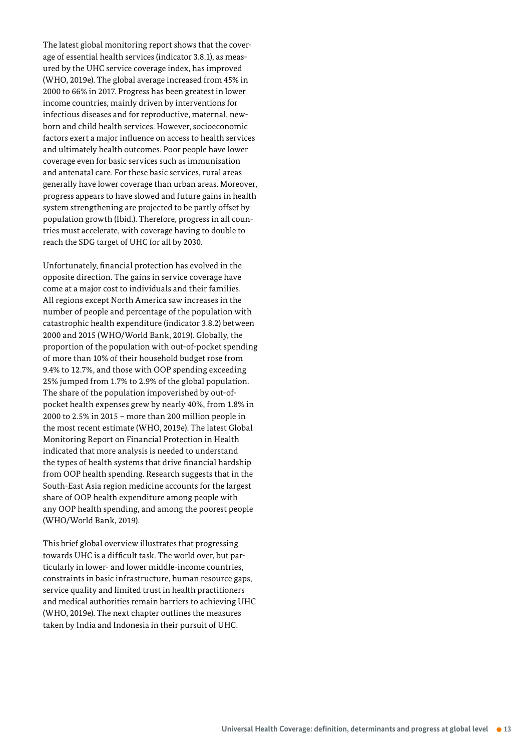The latest global monitoring report shows that the coverage of essential health services (indicator 3.8.1), as measured by the UHC service coverage index, has improved (WHO, 2019e). The global average increased from 45% in 2000 to 66% in 2017. Progress has been greatest in lower income countries, mainly driven by interventions for infectious diseases and for reproductive, maternal, newborn and child health services. However, socioeconomic factors exert a major influence on access to health services and ultimately health outcomes. Poor people have lower coverage even for basic services such as immunisation and antenatal care. For these basic services, rural areas generally have lower coverage than urban areas. Moreover, progress appears to have slowed and future gains in health system strengthening are projected to be partly offset by population growth (Ibid.). Therefore, progress in all countries must accelerate, with coverage having to double to reach the SDG target of UHC for all by 2030.

Unfortunately, financial protection has evolved in the opposite direction. The gains in service coverage have come at a major cost to individuals and their families. All regions except North America saw increases in the number of people and percentage of the population with catastrophic health expenditure (indicator 3.8.2) between 2000 and 2015 (WHO/World Bank, 2019). Globally, the proportion of the population with out-of-pocket spending of more than 10% of their household budget rose from 9.4% to 12.7%, and those with OOP spending exceeding 25% jumped from 1.7% to 2.9% of the global population. The share of the population impoverished by out-ofpocket health expenses grew by nearly 40%, from 1.8% in 2000 to 2.5% in 2015 – more than 200 million people in the most recent estimate (WHO, 2019e). The latest Global Monitoring Report on Financial Protection in Health indicated that more analysis is needed to understand the types of health systems that drive financial hardship from OOP health spending. Research suggests that in the South-East Asia region medicine accounts for the largest share of OOP health expenditure among people with any OOP health spending, and among the poorest people (WHO/World Bank, 2019).

This brief global overview illustrates that progressing towards UHC is a difficult task. The world over, but particularly in lower- and lower middle-income countries, constraints in basic infrastructure, human resource gaps, service quality and limited trust in health practitioners and medical authorities remain barriers to achieving UHC (WHO, 2019e). The next chapter outlines the measures taken by India and Indonesia in their pursuit of UHC.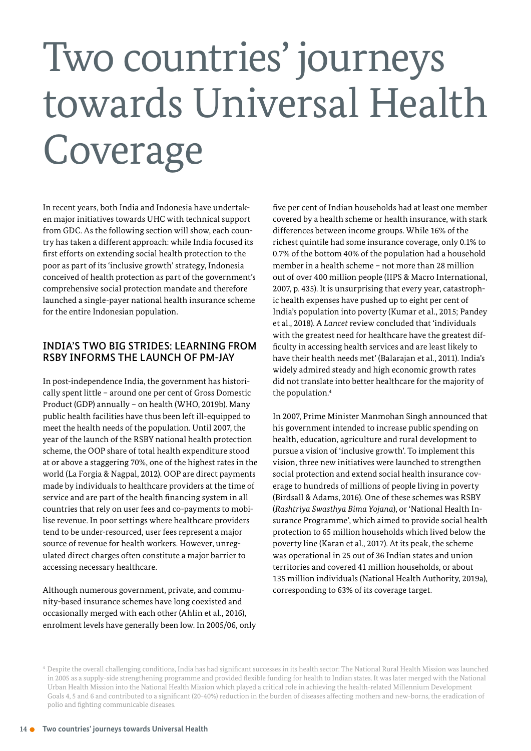# Two countries' journeys towards Universal Health Coverage

In recent years, both India and Indonesia have undertaken major initiatives towards UHC with technical support from GDC. As the following section will show, each country has taken a different approach: while India focused its first efforts on extending social health protection to the poor as part of its 'inclusive growth' strategy, Indonesia conceived of health protection as part of the government's comprehensive social protection mandate and therefore launched a single-payer national health insurance scheme for the entire Indonesian population.

#### INDIA'S TWO BIG STRIDES: LEARNING FROM RSBY INFORMS THE LAUNCH OF PM-JAY

In post-independence India, the government has historically spent little – around one per cent of Gross Domestic Product (GDP) annually – on health (WHO, 2019b). Many public health facilities have thus been left ill-equipped to meet the health needs of the population. Until 2007, the year of the launch of the RSBY national health protection scheme, the OOP share of total health expenditure stood at or above a staggering 70%, one of the highest rates in the world (La Forgia & Nagpal, 2012). OOP are direct payments made by individuals to healthcare providers at the time of service and are part of the health financing system in all countries that rely on user fees and co-payments to mobilise revenue. In poor settings where healthcare providers tend to be under-resourced, user fees represent a major source of revenue for health workers. However, unregulated direct charges often constitute a major barrier to accessing necessary healthcare.

Although numerous government, private, and community-based insurance schemes have long coexisted and occasionally merged with each other (Ahlin et al., 2016), enrolment levels have generally been low. In 2005/06, only five per cent of Indian households had at least one member covered by a health scheme or health insurance, with stark differences between income groups. While 16% of the richest quintile had some insurance coverage, only 0.1% to 0.7% of the bottom 40% of the population had a household member in a health scheme – not more than 28 million out of over 400 million people (IIPS & Macro International, 2007, p. 435). It is unsurprising that every year, catastrophic health expenses have pushed up to eight per cent of India's population into poverty (Kumar et al., 2015; Pandey et al., 2018). A *Lancet* review concluded that 'individuals with the greatest need for healthcare have the greatest difficulty in accessing health services and are least likely to have their health needs met' (Balarajan et al., 2011). India's widely admired steady and high economic growth rates did not translate into better healthcare for the majority of the population.<sup>4</sup>

In 2007, Prime Minister Manmohan Singh announced that his government intended to increase public spending on health, education, agriculture and rural development to pursue a vision of 'inclusive growth'. To implement this vision, three new initiatives were launched to strengthen social protection and extend social health insurance coverage to hundreds of millions of people living in poverty (Birdsall & Adams, 2016). One of these schemes was RSBY (*Rashtriya Swasthya Bima Yojana*), or 'National Health Insurance Programme', which aimed to provide social health protection to 65 million households which lived below the poverty line (Karan et al., 2017). At its peak, the scheme was operational in 25 out of 36 Indian states and union territories and covered 41 million households, or about 135 million individuals (National Health Authority, 2019a), corresponding to 63% of its coverage target.

<sup>&</sup>lt;sup>4</sup> Despite the overall challenging conditions, India has had significant successes in its health sector: The National Rural Health Mission was launched in 2005 as a supplyside strengthening programme and provided flexible funding for health to Indian states. It was later merged with the National Urban Health Mission into the National Health Mission which played a critical role in achieving the health-related Millennium Development Goals 4, 5 and 6 and contributed to a significant (20-40%) reduction in the burden of diseases affecting mothers and new-borns, the eradication of polio and fighting communicable diseases.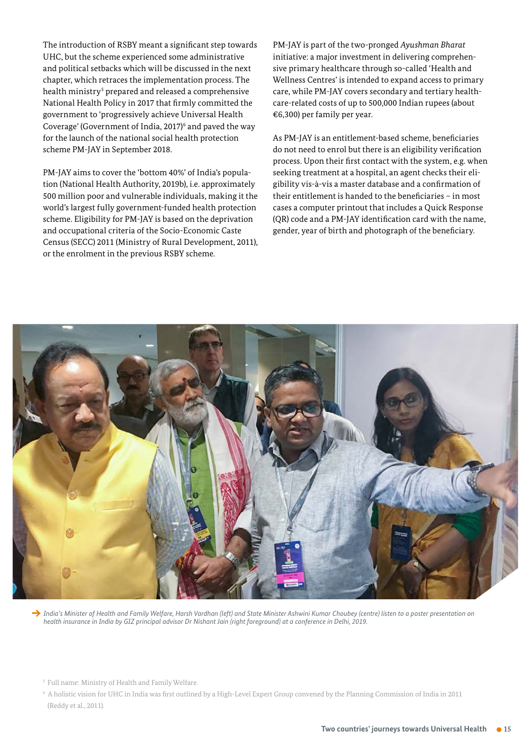The introduction of RSBY meant a significant step towards UHC, but the scheme experienced some administrative and political setbacks which will be discussed in the next chapter, which retraces the implementation process. The health ministry<sup>s</sup> prepared and released a comprehensive National Health Policy in 2017 that firmly committed the government to 'progressively achieve Universal Health Coverage' (Government of India, 2017) $\epsilon$  and paved the way for the launch of the national social health protection scheme PM-JAY in September 2018.

PM-JAY aims to cover the 'bottom 40%' of India's population (National Health Authority, 2019b), i.e. approximately 500 million poor and vulnerable individuals, making it the world's largest fully government-funded health protection scheme. Eligibility for PM-JAY is based on the deprivation and occupational criteria of the Socio-Economic Caste Census (SECC) 2011 (Ministry of Rural Development, 2011), or the enrolment in the previous RSBY scheme.

PM-JAY is part of the two-pronged *Ayushman Bharat* initiative: a major investment in delivering comprehensive primary healthcare through so-called 'Health and Wellness Centres' is intended to expand access to primary care, while PM-JAY covers secondary and tertiary healthcare-related costs of up to 500,000 Indian rupees (about €6,300) per family per year.

As PM-JAY is an entitlement-based scheme, beneficiaries do not need to enrol but there is an eligibility verification process. Upon their first contact with the system, e.g. when seeking treatment at a hospital, an agent checks their eligibility vis-à-vis a master database and a confirmation of their entitlement is handed to the beneficiaries – in most cases a computer printout that includes a Quick Response (QR) code and a PM-JAY identification card with the name, gender, year of birth and photograph of the beneficiary.



→ India's Minister of Health and Family Welfare, Harsh Vardhan (left) and State Minister Ashwini Kumar Choubey (centre) listen to a poster presentation on *health insurance in India by GIZ principal advisor Dr Nishant Jain (right foreground) at a conference in Delhi, 2019.*

<sup>&</sup>lt;sup>5</sup> Full name: Ministry of Health and Family Welfare.

 $^{\rm 6}$  A holistic vision for UHC in India was first outlined by a High-Level Expert Group convened by the Planning Commission of India in 2011 (Reddy et al., 2011).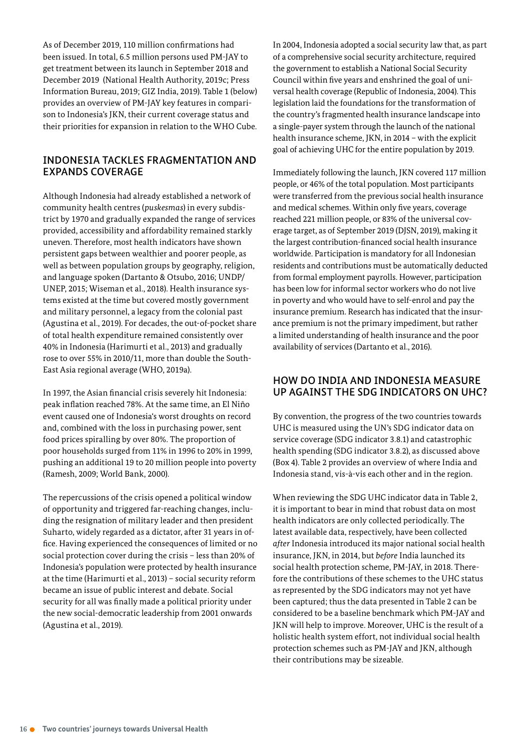As of December 2019, 110 million confirmations had been issued. In total, 6.5 million persons used PM-JAY to get treatment between its launch in September 2018 and December 2019 (National Health Authority, 2019c; Press Information Bureau, 2019; GIZ India, 2019). Table 1 (below) provides an overview of PM-JAY key features in comparison to Indonesia's JKN, their current coverage status and their priorities for expansion in relation to the WHO Cube.

#### INDONESIA TACKLES FRAGMENTATION AND EXPANDS COVERAGE

Although Indonesia had already established a network of community health centres (*puskesmas*) in every subdistrict by 1970 and gradually expanded the range of services provided, accessibility and affordability remained starkly uneven. Therefore, most health indicators have shown persistent gaps between wealthier and poorer people, as well as between population groups by geography, religion, and language spoken (Dartanto & Otsubo, 2016; UNDP/ UNEP, 2015; Wiseman et al., 2018). Health insurance systems existed at the time but covered mostly government and military personnel, a legacy from the colonial past (Agustina et al., 2019). For decades, the out-of-pocket share of total health expenditure remained consistently over 40% in Indonesia (Harimurti et al., 2013) and gradually rose to over 55% in 2010/11, more than double the South-East Asia regional average (WHO, 2019a).

In 1997, the Asian financial crisis severely hit Indonesia: peak inflation reached 78%. At the same time, an El Niño event caused one of Indonesia's worst droughts on record and, combined with the loss in purchasing power, sent food prices spiralling by over 80%. The proportion of poor households surged from 11% in 1996 to 20% in 1999, pushing an additional 19 to 20 million people into poverty (Ramesh, 2009; World Bank, 2000).

The repercussions of the crisis opened a political window of opportunity and triggered far-reaching changes, including the resignation of military leader and then president Suharto, widely regarded as a dictator, after 31 years in office. Having experienced the consequences of limited or no social protection cover during the crisis – less than 20% of Indonesia's population were protected by health insurance at the time (Harimurti et al., 2013) – social security reform became an issue of public interest and debate. Social security for all was finally made a political priority under the new social-democratic leadership from 2001 onwards (Agustina et al., 2019).

In 2004, Indonesia adopted a social security law that, as part of a comprehensive social security architecture, required the government to establish a National Social Security Council within five years and enshrined the goal of universal health coverage (Republic of Indonesia, 2004). This legislation laid the foundations for the transformation of the country's fragmented health insurance land scape into a single-payer system through the launch of the national health insurance scheme, JKN, in 2014 – with the explicit goal of achieving UHC for the entire population by 2019.

Immediately following the launch, JKN covered 117 million people, or 46% of the total population. Most participants were transferred from the previous social health insurance and medical schemes. Within only five years, coverage reached 221 million people, or 83% of the universal coverage target, as of September 2019 (DJSN, 2019), making it the largest contribution-financed social health insurance worldwide. Participation is mandatory for all Indonesian residents and contributions must be automatically deducted from formal employment payrolls. However, participation has been low for informal sector workers who do not live in poverty and who would have to self-enrol and pay the insurance premium. Research has indicated that the insurance premium is not the primary impediment, but rather a limited understanding of health insurance and the poor availability of services (Dartanto et al., 2016).

#### HOW DO INDIA AND INDONESIA MEASURE UP AGAINST THE SDG INDICATORS ON UHC?

By convention, the progress of the two countries towards UHC is measured using the UN's SDG indicator data on service coverage (SDG indicator 3.8.1) and catastrophic health spending (SDG indicator 3.8.2), as discussed above (Box 4). Table 2 provides an overview of where India and Indonesia stand, vis-à-vis each other and in the region.

When reviewing the SDG UHC indicator data in Table 2, it is important to bear in mind that robust data on most health indicators are only collected periodically. The latest available data, respectively, have been collected *after* Indonesia introduced its major national social health insurance, JKN, in 2014, but *before* India launched its social health protection scheme, PM-JAY, in 2018. Therefore the contributions of these schemes to the UHC status as represented by the SDG indicators may not yet have been captured; thus the data presented in Table 2 can be considered to be a baseline benchmark which PM-JAY and JKN will help to improve. Moreover, UHC is the result of a holistic health system effort, not individual social health protection schemes such as PM-JAY and JKN, although their contributions may be sizeable.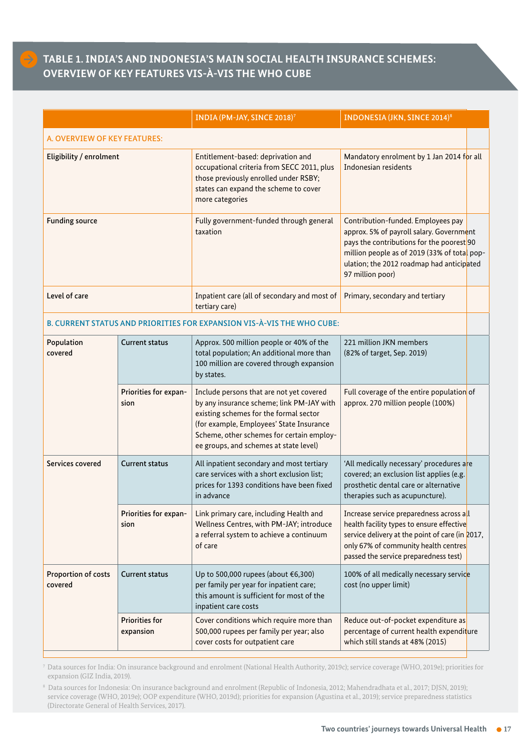### **TABLE 1. INDIA'S AND INDONESIA'S MAIN SOCIAL HEALTH INSURANCE SCHEMES: OVERVIEW OF KEY FEATURES VIS-À-VIS THE WHO CUBE**

|                                |                                    | INDIA (PM-JAY, SINCE 2018) <sup>7</sup>                                                                                                                                                                                                                            | <b>INDONESIA (JKN, SINCE 2014)8</b>                                                                                                                                                                                                          |  |  |  |  |  |  |
|--------------------------------|------------------------------------|--------------------------------------------------------------------------------------------------------------------------------------------------------------------------------------------------------------------------------------------------------------------|----------------------------------------------------------------------------------------------------------------------------------------------------------------------------------------------------------------------------------------------|--|--|--|--|--|--|
| A. OVERVIEW OF KEY FEATURES:   |                                    |                                                                                                                                                                                                                                                                    |                                                                                                                                                                                                                                              |  |  |  |  |  |  |
| Eligibility / enrolment        |                                    | Entitlement-based: deprivation and<br>occupational criteria from SECC 2011, plus<br>those previously enrolled under RSBY;<br>states can expand the scheme to cover<br>more categories                                                                              | Mandatory enrolment by 1 Jan 2014 for all<br>Indonesian residents                                                                                                                                                                            |  |  |  |  |  |  |
| <b>Funding source</b>          |                                    | Fully government-funded through general<br>taxation                                                                                                                                                                                                                | Contribution-funded. Employees pay<br>approx. 5% of payroll salary. Government<br>pays the contributions for the poorest 90<br>million people as of 2019 (33% of total pop-<br>ulation; the 2012 roadmap had anticipated<br>97 million poor) |  |  |  |  |  |  |
| Level of care                  |                                    | Inpatient care (all of secondary and most of<br>tertiary care)                                                                                                                                                                                                     | Primary, secondary and tertiary                                                                                                                                                                                                              |  |  |  |  |  |  |
|                                |                                    | B. CURRENT STATUS AND PRIORITIES FOR EXPANSION VIS-À-VIS THE WHO CUBE:                                                                                                                                                                                             |                                                                                                                                                                                                                                              |  |  |  |  |  |  |
| Population<br>covered          | <b>Current status</b>              | Approx. 500 million people or 40% of the<br>total population; An additional more than<br>100 million are covered through expansion<br>by states.                                                                                                                   | 221 million JKN members<br>(82% of target, Sep. 2019)                                                                                                                                                                                        |  |  |  |  |  |  |
|                                | Priorities for expan-<br>sion      | Include persons that are not yet covered<br>by any insurance scheme; link PM-JAY with<br>existing schemes for the formal sector<br>(for example, Employees' State Insurance<br>Scheme, other schemes for certain employ-<br>ee groups, and schemes at state level) | Full coverage of the entire population of<br>approx. 270 million people (100%)                                                                                                                                                               |  |  |  |  |  |  |
| Services covered               | <b>Current status</b>              | All inpatient secondary and most tertiary<br>care services with a short exclusion list;<br>prices for 1393 conditions have been fixed<br>in advance                                                                                                                | 'All medically necessary' procedures are<br>covered; an exclusion list applies (e.g.<br>prosthetic dental care or alternative<br>therapies such as acupuncture).                                                                             |  |  |  |  |  |  |
|                                | Priorities for expan-<br>sion      | Link primary care, including Health and<br>Wellness Centres, with PM-JAY; introduce<br>a referral system to achieve a continuum<br>of care                                                                                                                         | Increase service preparedness across all<br>health facility types to ensure effective<br>service delivery at the point of care (in 2017,<br>only 67% of community health centres<br>passed the service preparedness test)                    |  |  |  |  |  |  |
| Proportion of costs<br>covered | <b>Current status</b>              | Up to 500,000 rupees (about €6,300)<br>per family per year for inpatient care;<br>this amount is sufficient for most of the<br>inpatient care costs                                                                                                                | 100% of all medically necessary service<br>cost (no upper limit)                                                                                                                                                                             |  |  |  |  |  |  |
|                                | <b>Priorities for</b><br>expansion | Cover conditions which require more than<br>500,000 rupees per family per year; also<br>cover costs for outpatient care                                                                                                                                            | Reduce out-of-pocket expenditure as<br>percentage of current health expenditure<br>which still stands at 48% (2015)                                                                                                                          |  |  |  |  |  |  |

<sup>7</sup>Data sources for India: On insurance background and enrolment (National Health Authority, 2019c); service coverage (WHO, 2019e); priorities for expansion (GIZ India, 2019).

 $^{\rm 8}$  Data sources for Indonesia: On insurance background and enrolment (Republic of Indonesia, 2012; Mahendradhata et al., 2017; DJSN, 2019); service coverage (WHO, 2019e); OOP expenditure (WHO, 2019d); priorities for expansion (Agustina et al., 2019); service preparedness statistics (Directorate General of Health Services, 2017).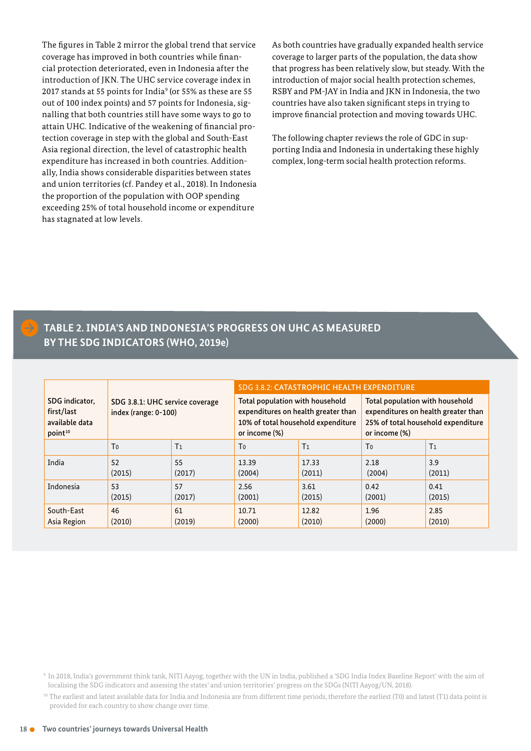The figures in Table 2 mirror the global trend that service coverage has improved in both countries while financial protection deteriorated, even in Indonesia after the introduction of JKN. The UHC service coverage index in 2017 stands at 55 points for India<sup>9</sup> (or 55% as these are 55 out of 100 index points) and 57 points for Indonesia, signalling that both countries still have some ways to go to attain UHC. Indicative of the weakening of financial protection coverage in step with the global and South-East Asia regional direction, the level of catastrophic health expenditure has increased in both countries. Additionally, India shows considerable disparities between states and union territories (cf. Pandey et al., 2018). In Indonesia the proportion of the population with OOP spending exceeding 25% of total household income or expenditure has stagnated at low levels.

As both countries have gradually expanded health service coverage to larger parts of the population, the data show that progress has been relatively slow, but steady. With the introduction of major social health protection schemes, RSBY and PM-JAY in India and JKN in Indonesia, the two countries have also taken significant steps in trying to improve financial protection and moving towards UHC.

The following chapter reviews the role of GDC in supporting India and Indonesia in undertaking these highly complex, long-term social health protection reforms.

#### **TABLE 2. INDIA'S AND INDONESIA'S PROGRESS ON UHC AS MEASURED BY THE SDG INDICATORS (WHO, 2019e)**

|                                                                       | SDG 3.8.1: UHC service coverage<br>index (range: 0-100) |                | SDG 3.8.2: CATASTROPHIC HEALTH EXPENDITURE                                                                                    |                |                                                                                                                               |                |
|-----------------------------------------------------------------------|---------------------------------------------------------|----------------|-------------------------------------------------------------------------------------------------------------------------------|----------------|-------------------------------------------------------------------------------------------------------------------------------|----------------|
| SDG indicator,<br>first/last<br>available data<br>point <sup>10</sup> |                                                         |                | Total population with household<br>expenditures on health greater than<br>10% of total household expenditure<br>or income (%) |                | Total population with household<br>expenditures on health greater than<br>25% of total household expenditure<br>or income (%) |                |
|                                                                       | To                                                      | T <sub>1</sub> | T <sub>0</sub>                                                                                                                | T <sub>1</sub> | T <sub>0</sub>                                                                                                                | T <sub>1</sub> |
| India                                                                 | 52                                                      | 55             | 13.39                                                                                                                         | 17.33          | 2.18                                                                                                                          | 3.9            |
|                                                                       | (2015)                                                  | (2017)         | (2004)                                                                                                                        | (2011)         | (2004)                                                                                                                        | (2011)         |
| Indonesia                                                             | 53                                                      | 57             | 2.56                                                                                                                          | 3.61           | 0.42                                                                                                                          | 0.41           |
|                                                                       | (2015)                                                  | (2017)         | (2001)                                                                                                                        | (2015)         | (2001)                                                                                                                        | (2015)         |
| South-East                                                            | 46                                                      | 61             | 10.71                                                                                                                         | 12.82          | 1.96                                                                                                                          | 2.85           |
| Asia Region                                                           | (2010)                                                  | (2019)         | (2000)                                                                                                                        | (2010)         | (2000)                                                                                                                        | (2010)         |

<sup>&</sup>lt;sup>9</sup> In 2018, India's government think tank, NITI Aayog, together with the UN in India, published a 'SDG India Index Baseline Report' with the aim of localising the SDG indicators and assessing the states' and union territories' progress on the SDGs (NITI Aayog/UN, 2018).

<sup>&</sup>lt;sup>10</sup> The earliest and latest available data for India and Indonesia are from different time periods, therefore the earliest (T0) and latest (T1) data point is provided for each country to show change over time.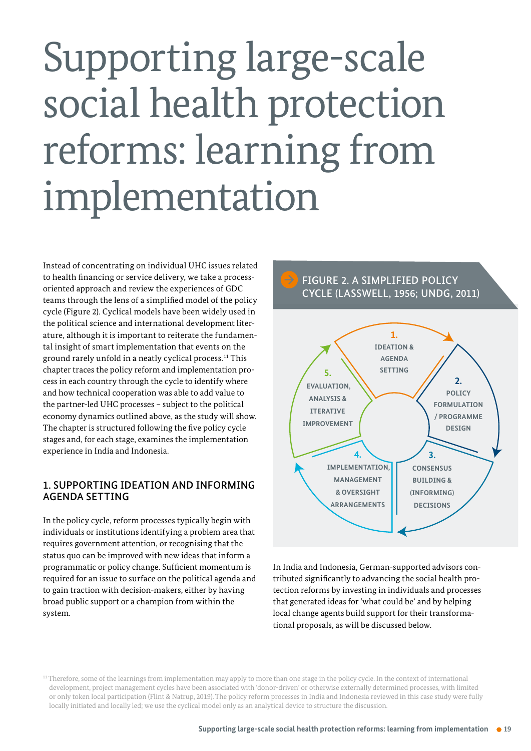# <span id="page-18-0"></span>Supporting large-scale social health protection reforms: learning from implementation

Instead of concentrating on individual UHC issues related to health financing or service delivery, we take a processoriented approach and review the experiences of GDC teams through the lens of a simplified model of the policy cycle (Figure 2). Cyclical models have been widely used in the political science and international development literature, although it is important to reiterate the fundamental insight of smart implementation that events on the ground rarely unfold in a neatly cyclical process. <sup>11</sup> This chapter traces the policy reform and implementation process in each country through the cycle to identify where and how technical cooperation was able to add value to the partner-led UHC processes - subject to the political economy dynamics outlined above, as the study will show. The chapter is structured following the five policy cycle stages and, for each stage, examines the implementation experience in India and Indonesia.

#### 1. SUPPORTING IDEATION AND INFORMING AGENDA SETTING

In the policy cycle, reform processes typically begin with individuals or institutions identifying a problem area that requires government attention, or recognising that the status quo can be improved with new ideas that inform a programmatic or policy change. Sufficient momentum is required for an issue to surface on the political agenda and to gain traction with decision-makers, either by having broad public support or a champion from within the system.



In India and Indonesia, German-supported advisors contributed significantly to advancing the social health protection reforms by investing in individuals and processes that generated ideas for 'what could be' and by helping local change agents build support for their transformational proposals, as will be discussed below.

<sup>11</sup> Therefore, some of the learnings from implementation may apply to more than one stage in the policy cycle. In the context of international development, project management cycles have been associated with 'donor-driven' or otherwise externally determined processes, with limited or only token local participation (Flint & Natrup, 2019). The policy reform processes in India and Indonesia reviewed in this case study were fully locally initiated and locally led; we use the cyclical model only as an analytical device to structure the discussion.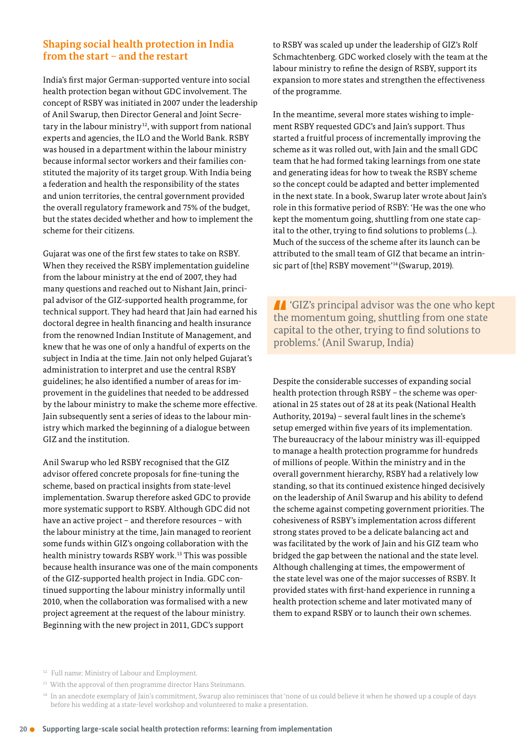#### **Shaping social health protection in India from the start – and the restart**

India's first major German-supported venture into social health protection began without GDC involvement. The concept of RSBY was initiated in 2007 under the leadership of Anil Swarup, then Director General and Joint Secretary in the labour ministry<sup>12</sup>, with support from national experts and agencies, the ILO and the World Bank. RSBY was housed in a department within the labour ministry because informal sector workers and their families constituted the majority of its target group. With India being a federation and health the responsibility of the states and union territories, the central government provided the overall regulatory framework and 75% of the budget, but the states decided whether and how to implement the scheme for their citizens.

Gujarat was one of the first few states to take on RSBY. When they received the RSBY implementation guideline from the labour ministry at the end of 2007, they had many questions and reached out to Nishant Jain, principal advisor of the GIZ-supported health programme, for technical support. They had heard that Jain had earned his doctoral degree in health financing and health insurance from the renowned Indian Institute of Management, and knew that he was one of only a handful of experts on the subject in India at the time. Jain not only helped Gujarat's administration to interpret and use the central RSBY guidelines; he also identified a number of areas for improvement in the guidelines that needed to be addressed by the labour ministry to make the scheme more effective. Jain subsequently sent a series of ideas to the labour ministry which marked the beginning of a dialogue between GIZ and the institution.

Anil Swarup who led RSBY recognised that the GIZ advisor offered concrete proposals for fine-tuning the scheme, based on practical insights from state-level implementation. Swarup therefore asked GDC to provide more systematic support to RSBY. Although GDC did not have an active project – and therefore resources – with the labour ministry at the time, Jain managed to reorient some funds within GIZ's ongoing collaboration with the health ministry towards RSBY work. <sup>13</sup> This was possible because health insurance was one of the main components of the GIZ-supported health project in India. GDC continued supporting the labour ministry informally until 2010, when the collaboration was formalised with a new project agreement at the request of the labour ministry. Beginning with the new project in 2011, GDC's support

to RSBY was scaled up under the leadership of GIZ's Rolf Schmachtenberg. GDC worked closely with the team at the labour ministry to refine the design of RSBY, support its expansion to more states and strengthen the effectiveness of the programme.

In the meantime, several more states wishing to implement RSBY requested GDC's and Jain's support. Thus started a fruitful process of incrementally improving the scheme as it was rolled out, with Jain and the small GDC team that he had formed taking learnings from one state and generating ideas for how to tweak the RSBY scheme so the concept could be adapted and better implemented in the next state. In a book, Swarup later wrote about Jain's role in this formative period of RSBY: 'He was the one who kept the momentum going, shuttling from one state capital to the other, trying to find solutions to problems (…). Much of the success of the scheme after its launch can be attributed to the small team of GIZ that became an intrinsic part of [the] RSBY movement'<sup>14</sup> (Swarup, 2019).

**T** 'GIZ's principal advisor was the one who kept the momentum going, shuttling from one state capital to the other, trying to find solutions to problems.' (Anil Swarup, India)

Despite the considerable successes of expanding social health protection through RSBY – the scheme was operational in 25 states out of 28 at its peak (National Health Authority, 2019a) – several fault lines in the scheme's setup emerged within five years of its implementation. The bureaucracy of the labour ministry was ill-equipped to manage a health protection programme for hundreds of millions of people. Within the ministry and in the overall government hierarchy, RSBY had a relatively low standing, so that its continued existence hinged decisively on the leadership of Anil Swarup and his ability to defend the scheme against competing government priorities. The cohesiveness of RSBY's implementation across different strong states proved to be a delicate balancing act and was facilitated by the work of Jain and his GIZ team who bridged the gap between the national and the state level. Although challenging at times, the empowerment of the state level was one of the major successes of RSBY. It provided states with first-hand experience in running a health protection scheme and later motivated many of them to expand RSBY or to launch their own schemes.

<sup>&</sup>lt;sup>12</sup> Full name: Ministry of Labour and Employment.

<sup>&</sup>lt;sup>13</sup> With the approval of then programme director Hans Steinmann.

<sup>&</sup>lt;sup>14</sup> In an anecdote exemplary of Jain's commitment, Swarup also reminisces that 'none of us could believe it when he showed up a couple of days before his wedding at a state-level workshop and volunteered to make a presentation.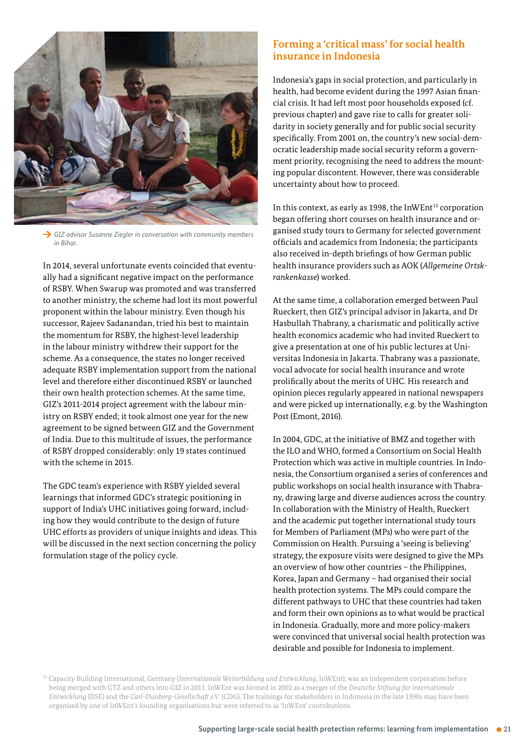

 *GIZ advisor Susanne Ziegler in conversation with community members in Bihar.* 

In 2014, several unfortunate events coincided that eventually had a significant negative impact on the performance of RSBY. When Swarup was promoted and was transferred to another ministry, the scheme had lost its most powerful proponent within the labour ministry. Even though his successor, Rajeev Sadanandan, tried his best to maintain the momentum for RSBY, the highest-level leadership in the labour ministry withdrew their support for the scheme. As a consequence, the states no longer received adequate RSBY implementation support from the national level and therefore either discontinued RSBY or launched their own health protection schemes. At the same time, GIZ's 2011-2014 project agreement with the labour ministry on RSBY ended; it took almost one year for the new agreement to be signed between GIZ and the Government of India. Due to this multitude of issues, the performance of RSBY dropped considerably: only 19 states continued with the scheme in 2015.

The GDC team's experience with RSBY yielded several learnings that informed GDC's strategic positioning in support of India's UHC initiatives going forward, including how they would contribute to the design of future UHC efforts as providers of unique insights and ideas. This will be discussed in the next section concerning the policy formulation stage of the policy cycle.

#### **Forming a 'critical mass' for social health insurance in Indonesia**

Indonesia's gaps in social protection, and particularly in health, had become evident during the 1997 Asian financial crisis. It had left most poor households exposed (cf. previous chapter) and gave rise to calls for greater solidarity in society generally and for public social security specifically. From 2001 on, the country's new social-democratic leadership made social security reform a government priority, recognising the need to address the mounting popular discontent. However, there was considerable uncertainty about how to proceed.

In this context, as early as 1998, the InWEnt<sup>15</sup> corporation began offering short courses on health insurance and organised study tours to Germany for selected government officials and academics from Indonesia; the participants also received in-depth briefings of how German public health insurance providers such as AOK (*Allgemeine Ortskrankenkasse*) worked.

At the same time, a collaboration emerged between Paul Rueckert, then GIZ's principal advisor in Jakarta, and Dr Hasbullah Thabrany, a charismatic and politically active health economics academic who had invited Rueckert to give a presentation at one of his public lectures at Universitas Indonesia in Jakarta. Thabrany was a passionate, vocal advocate for social health insurance and wrote prolifically about the merits of UHC. His research and opinion pieces regularly appeared in national newspapers and were picked up internationally, e.g. by the Washington Post (Emont, 2016).

In 2004, GDC, at the initiative of BMZ and together with the ILO and WHO, formed a Consortium on Social Health Protection which was active in multiple countries. In Indonesia, the Consortium organised a series of conferences and public workshops on social health insurance with Thabrany, drawing large and diverse audiences across the country. In collaboration with the Ministry of Health, Rueckert and the academic put together international study tours for Members of Parliament (MPs) who were part of the Commission on Health. Pursuing a 'seeing is believing' strategy, the exposure visits were designed to give the MPs an overview of how other countries – the Philippines, Korea, Japan and Germany – had organised their social health protection systems. The MPs could compare the different pathways to UHC that these countries had taken and form their own opinions as to what would be practical in Indonesia. Gradually, more and more policy-makers were convinced that universal social health protection was desirable and possible for Indonesia to implement.

<sup>15</sup> Capacity Building International, Germany (*Internationale Weiterbildung und Entwicklung*, InWEnt), was an independent corporation before being merged with GTZ and others into GIZ in 2011. InWEnt was formed in 2002 as a merger of the *Deutsche Stiftung für internationale Entwicklung* (DSE) and the *Carl-Duisberg-Gesellschaft e.V.* (CDG). The trainings for stakeholders in Indonesia in the late 1990s may have been organised by one of InWEnt's founding organisations but were referred to as 'InWEnt' contributions.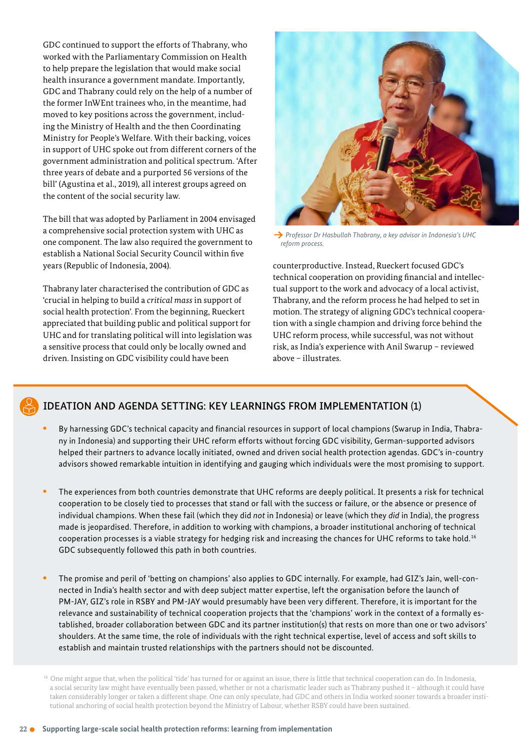GDC continued to support the efforts of Thabrany, who worked with the Parliamentary Commission on Health to help prepare the legislation that would make social health insurance a government mandate. Importantly, GDC and Thabrany could rely on the help of a number of the former InWEnt trainees who, in the meantime, had moved to key positions across the government, including the Ministry of Health and the then Coordinating Ministry for People's Welfare. With their backing, voices in support of UHC spoke out from different corners of the government administration and political spectrum. 'After three years of debate and a purported 56 versions of the bill' (Agustina et al., 2019), all interest groups agreed on the content of the social security law.

The bill that was adopted by Parliament in 2004 envisaged a comprehensive social protection system with UHC as one component. The law also required the government to establish a National Social Security Council within five years (Republic of Indonesia, 2004).

Thabrany later characterised the contribution of GDC as 'crucial in helping to build a *critical mass* in support of social health protection'. From the beginning, Rueckert appreciated that building public and political support for UHC and for translating political will into legislation was a sensitive process that could only be locally owned and driven. Insisting on GDC visibility could have been



 *Professor Dr Hasbullah Thabrany, a key advisor in Indonesia's UHC reform process.* 

counterproductive. Instead, Rueckert focused GDC's technical cooperation on providing financial and intellectual support to the work and advocacy of a local activist, Thabrany, and the reform process he had helped to set in motion. The strategy of aligning GDC's technical cooperation with a single champion and driving force behind the UHC reform process, while successful, was not without risk, as India's experience with Anil Swarup – reviewed above – illustrates.



#### IDEATION AND AGENDA SETTING: KEY LEARNINGS FROM IMPLEMENTATION (1)

- By harnessing GDC's technical capacity and financial resources in support of local champions (Swarup in India, Thabrany in Indonesia) and supporting their UHC reform efforts without forcing GDC visibility, German-supported advisors helped their partners to advance locally initiated, owned and driven social health protection agendas. GDC's in-country advisors showed remarkable intuition in identifying and gauging which individuals were the most promising to support.
- The experiences from both countries demonstrate that UHC reforms are deeply political. It presents a risk for technical cooperation to be closely tied to processes that stand or fall with the success or failure, or the absence or presence of individual champions. When these fail (which they did *not* in Indonesia) or leave (which they *did* in India), the progress made is jeopardised. Therefore, in addition to working with champions, a broader institutional anchoring of technical cooperation processes is a viable strategy for hedging risk and increasing the chances for UHC reforms to take hold. <sup>16</sup> GDC subsequently followed this path in both countries.
- The promise and peril of 'betting on champions' also applies to GDC internally. For example, had GIZ's Jain, well-connected in India's health sector and with deep subject matter expertise, left the organisation before the launch of PM-JAY, GIZ's role in RSBY and PM-JAY would presumably have been very different. Therefore, it is important for the relevance and sustainability of technical cooperation projects that the 'champions' work in the context of a formally established, broader collaboration between GDC and its partner institution(s) that rests on more than one or two advisors' shoulders. At the same time, the role of individuals with the right technical expertise, level of access and soft skills to establish and maintain trusted relationships with the partners should not be discounted.

<sup>&</sup>lt;sup>16</sup> One might argue that, when the political 'tide' has turned for or against an issue, there is little that technical cooperation can do. In Indonesia, a social security law might have eventually been passed, whether or not a charismatic leader such as Thabrany pushed it – although it could have taken considerably longer or taken a different shape. One can only speculate, had GDC and others in India worked sooner towards a broader insti tutional anchoring of social health protection beyond the Ministry of Labour, whether RSBY could have been sustained.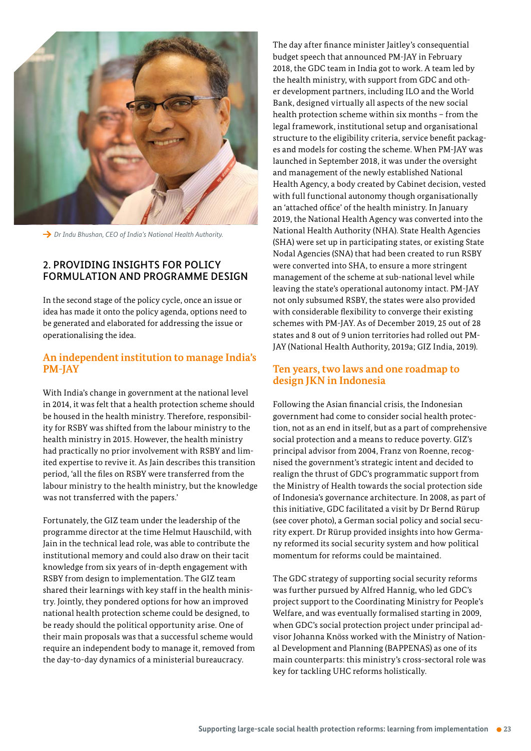

→ Dr Indu Bhushan, CEO of India's National Health Authority.

#### 2. PROVIDING INSIGHTS FOR POLICY FORMULATION AND PROGRAMME DESIGN

In the second stage of the policy cycle, once an issue or idea has made it onto the policy agenda, options need to be generated and elaborated for addressing the issue or operationalising the idea.

#### **An independent institution to manage India's PM-JAY**

With India's change in government at the national level in 2014, it was felt that a health protection scheme should be housed in the health ministry. Therefore, responsibility for RSBY was shifted from the labour ministry to the health ministry in 2015. However, the health ministry had practically no prior involvement with RSBY and limited expertise to revive it. As Jain describes this transition period, 'all the files on RSBY were transferred from the labour ministry to the health ministry, but the knowledge was not transferred with the papers.'

Fortunately, the GIZ team under the leadership of the programme director at the time Helmut Hauschild, with Jain in the technical lead role, was able to contribute the institutional memory and could also draw on their tacit knowledge from six years of in-depth engagement with RSBY from design to implementation. The GIZ team shared their learnings with key staff in the health ministry. Jointly, they pondered options for how an improved national health protection scheme could be designed, to be ready should the political opportunity arise. One of their main proposals was that a successful scheme would require an independent body to manage it, removed from the day-to-day dynamics of a ministerial bureaucracy.

The day after finance minister Jaitley's consequential budget speech that announced PM-JAY in February 2018, the GDC team in India got to work. A team led by the health ministry, with support from GDC and other development partners, including ILO and the World Bank, designed virtually all aspects of the new social health protection scheme within six months – from the legal framework, institutional setup and organisational structure to the eligibility criteria, service benefit packages and models for costing the scheme. When PM-JAY was launched in September 2018, it was under the oversight and management of the newly established National Health Agency, a body created by Cabinet decision, vested with full functional autonomy though organisationally an 'attached office' of the health ministry. In January 2019, the National Health Agency was converted into the National Health Authority (NHA). State Health Agencies (SHA) were set up in participating states, or existing State Nodal Agencies (SNA) that had been created to run RSBY were converted into SHA, to ensure a more stringent management of the scheme at sub-national level while leaving the state's operational autonomy intact. PM-JAY not only subsumed RSBY, the states were also provided with considerable flexibility to converge their existing schemes with PM-JAY. As of December 2019, 25 out of 28 states and 8 out of 9 union territories had rolled out PM-JAY (National Health Authority, 2019a; GIZ India, 2019).

#### **Ten years, two laws and one roadmap to design JKN in Indonesia**

Following the Asian financial crisis, the Indonesian government had come to consider social health protection, not as an end in itself, but as a part of comprehensive social protection and a means to reduce poverty. GIZ's principal advisor from 2004, Franz von Roenne, recognised the government's strategic intent and decided to realign the thrust of GDC's programmatic support from the Ministry of Health towards the social protection side of Indonesia's governance architecture. In 2008, as part of this initiative, GDC facilitated a visit by Dr Bernd Rürup (see cover photo), a German social policy and social security expert. Dr Rürup provided insights into how Germany reformed its social security system and how political momentum for reforms could be maintained.

The GDC strategy of supporting social security reforms was further pursued by Alfred Hannig, who led GDC's project support to the Coordinating Ministry for People's Welfare, and was eventually formalised starting in 2009, when GDC's social protection project under principal advisor Johanna Knöss worked with the Ministry of National Development and Planning (BAPPENAS) as one of its main counterparts: this ministry's cross-sectoral role was key for tackling UHC reforms holistically.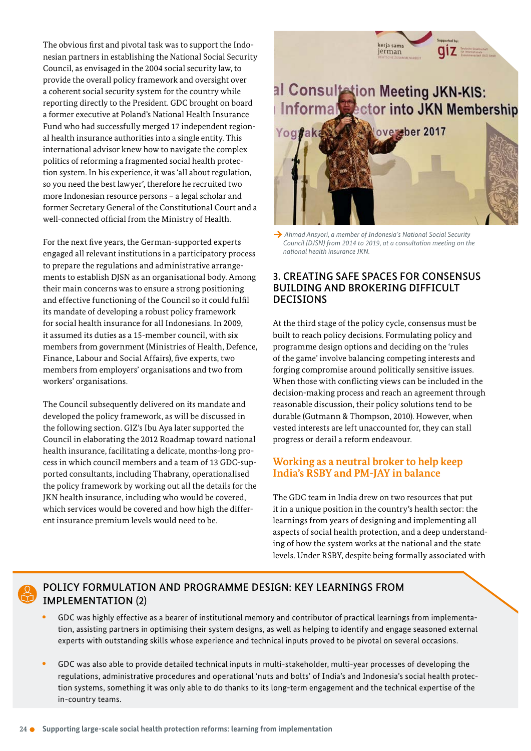The obvious first and pivotal task was to support the Indonesian partners in establishing the National Social Security Council, as envisaged in the 2004 social security law, to provide the overall policy framework and oversight over a coherent social security system for the country while reporting directly to the President. GDC brought on board a former executive at Poland's National Health Insurance Fund who had successfully merged 17 independent regional health insurance authorities into a single entity. This international advisor knew how to navigate the complex politics of reforming a fragmented social health protection system. In his experience, it was 'all about regulation, so you need the best lawyer', therefore he recruited two more Indonesian resource persons – a legal scholar and former Secretary General of the Constitutional Court and a well-connected official from the Ministry of Health.

For the next five years, the German-supported experts engaged all relevant institutions in a participatory process to prepare the regulations and administrative arrangements to establish DJSN as an organisational body. Among their main concerns was to ensure a strong positioning and effective functioning of the Council so it could fulfil its mandate of developing a robust policy framework for social health insurance for all Indonesians. In 2009, it assumed its duties as a 15-member council, with six members from government (Ministries of Health, Defence, Finance, Labour and Social Affairs), five experts, two members from employers' organisations and two from workers' organisations.

The Council subsequently delivered on its mandate and developed the policy framework, as will be discussed in the following section. GIZ's Ibu Aya later supported the Council in elaborating the 2012 Roadmap toward national health insurance, facilitating a delicate, months-long process in which council members and a team of 13 GDC-supported consultants, including Thabrany, operationalised the policy framework by working out all the details for the JKN health insurance, including who would be covered, which services would be covered and how high the different insurance premium levels would need to be.

### al Consultation Meeting JKN-KIS:<br>Informal Sector into JKN Membership versber 2017

kerja sama

jerman

qiz a



 *Ahmad Ansyori, a member of Indonesia's National Social Security Council (DJSN) from 2014 to 2019, at a consultation meeting on the national health insurance JKN.*

#### 3. CREATING SAFE SPACES FOR CONSENSUS BUILDING AND BROKERING DIFFICULT DECISIONS

At the third stage of the policy cycle, consensus must be built to reach policy decisions. Formulating policy and programme design options and deciding on the 'rules of the game' involve balancing competing interests and forging compromise around politically sensitive issues. When those with conflicting views can be included in the decision-making process and reach an agreement through reasonable discussion, their policy solutions tend to be durable (Gutmann & Thompson, 2010). However, when vested interests are left unaccounted for, they can stall progress or derail a reform endeavour.

### **Working as a neutral broker to help keep India's RSBY and PM-JAY in balance**

The GDC team in India drew on two resources that put it in a unique position in the country's health sector: the learnings from years of designing and implementing all aspects of social health protection, and a deep understanding of how the system works at the national and the state levels. Under RSBY, despite being formally associated with

### POLICY FORMULATION AND PROGRAMME DESIGN: KEY LEARNINGS FROM IMPLEMENTATION (2)

- GDC was highly effective as a bearer of institutional memory and contributor of practical learnings from implementation, assisting partners in optimising their system designs, as well as helping to identify and engage seasoned external experts with outstanding skills whose experience and technical inputs proved to be pivotal on several occasions.
- GDC was also able to provide detailed technical inputs in multi-stakeholder, multi-year processes of developing the regulations, administrative procedures and operational 'nuts and bolts' of India's and Indonesia's social health protection systems, something it was only able to do thanks to its long-term engagement and the technical expertise of the in-country teams.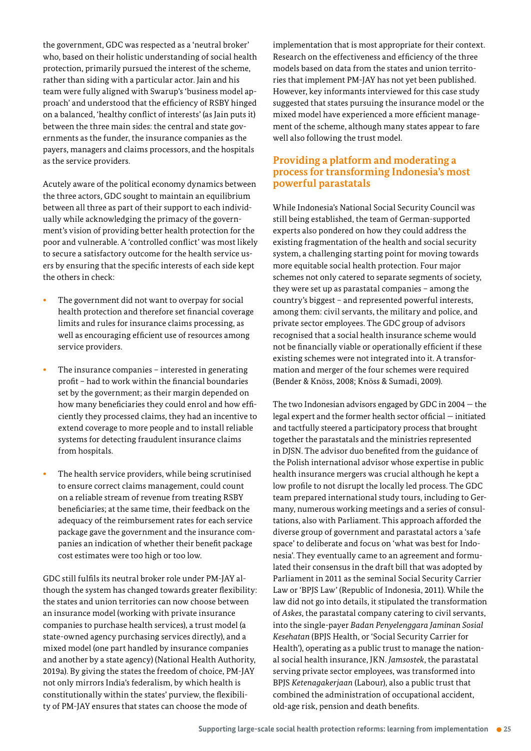the government, GDC was respected as a 'neutral broker' who, based on their holistic understanding of social health protection, primarily pursued the interest of the scheme, rather than siding with a particular actor. Jain and his team were fully aligned with Swarup's 'business model approach' and understood that the efficiency of RSBY hinged on a balanced, 'healthy conflict of interests' (as Jain puts it) between the three main sides: the central and state governments as the funder, the insurance companies as the payers, managers and claims processors, and the hospitals as the service providers.

Acutely aware of the political economy dynamics between the three actors, GDC sought to maintain an equilibrium between all three as part of their support to each individually while acknowledging the primacy of the government's vision of providing better health protection for the poor and vulnerable. A 'controlled conflict' was most likely to secure a satisfactory outcome for the health service users by ensuring that the specific interests of each side kept the others in check:

- The government did not want to overpay for social health protection and therefore set financial coverage limits and rules for insurance claims processing, as well as encouraging efficient use of resources among service providers.
- The insurance companies interested in generating profit – had to work within the financial boundaries set by the government; as their margin depended on how many beneficiaries they could enrol and how efficiently they processed claims, they had an incentive to extend coverage to more people and to install reliable systems for detecting fraudulent insurance claims from hospitals.
- The health service providers, while being scrutinised to ensure correct claims management, could count on a reliable stream of revenue from treating RSBY beneficiaries; at the same time, their feedback on the adequacy of the reimbursement rates for each service package gave the government and the insurance companies an indication of whether their benefit package cost estimates were too high or too low.

GDC still fulfils its neutral broker role under PM-JAY although the system has changed towards greater flexibility: the states and union territories can now choose between an insurance model (working with private insurance companies to purchase health services), a trust model (a state-owned agency purchasing services directly), and a mixed model (one part handled by insurance companies and another by a state agency) (National Health Authority, 2019a). By giving the states the freedom of choice, PM-JAY not only mirrors India's federalism, by which health is constitutionally within the states' purview, the flexibility of PM-JAY ensures that states can choose the mode of

implementation that is most appropriate for their context. Research on the effectiveness and efficiency of the three models based on data from the states and union territories that implement PM-JAY has not yet been published. However, key informants interviewed for this case study suggested that states pursuing the insurance model or the mixed model have experienced a more efficient management of the scheme, although many states appear to fare well also following the trust model.

#### **Providing a platform and moderating a process for transforming Indonesia's most powerful parastatals**

While Indonesia's National Social Security Council was still being established, the team of German-supported experts also pondered on how they could address the existing fragmentation of the health and social security system, a challenging starting point for moving towards more equitable social health protection. Four major schemes not only catered to separate segments of society, they were set up as parastatal companies – among the country's biggest – and represented powerful interests, among them: civil servants, the military and police, and private sector employees. The GDC group of advisors recognised that a social health insurance scheme would not be financially viable or operationally efficient if these existing schemes were not integrated into it. A transformation and merger of the four schemes were required (Bender & Knöss, 2008; Knöss & Sumadi, 2009).

The two Indonesian advisors engaged by GDC in 2004 — the legal expert and the former health sector official — initiated and tactfully steered a participatory process that brought together the parastatals and the ministries represented in DJSN. The advisor duo benefited from the guidance of the Polish international advisor whose expertise in public health insurance mergers was crucial although he kept a low profile to not disrupt the locally led process. The GDC team prepared international study tours, including to Germany, numerous working meetings and a series of consultations, also with Parliament. This approach afforded the diverse group of government and parastatal actors a 'safe space' to deliberate and focus on 'what was best for Indonesia'. They eventually came to an agreement and formulated their consensus in the draft bill that was adopted by Parliament in 2011 as the seminal Social Security Carrier Law or 'BPJS Law' (Republic of Indonesia, 2011). While the law did not go into details, it stipulated the transformation of *Askes*, the parastatal company catering to civil servants, into the single-payer *Badan Penyelenggara Jaminan Sosial Kesehatan* (BPJS Health, or 'Social Security Carrier for Health'), operating as a public trust to manage the national social health insurance, JKN. *Jamsostek*, the parastatal serving private sector employees, was transformed into BPJS *Ketenagakerjaan* (Labour), also a public trust that combined the administration of occupational accident, old-age risk, pension and death benefits.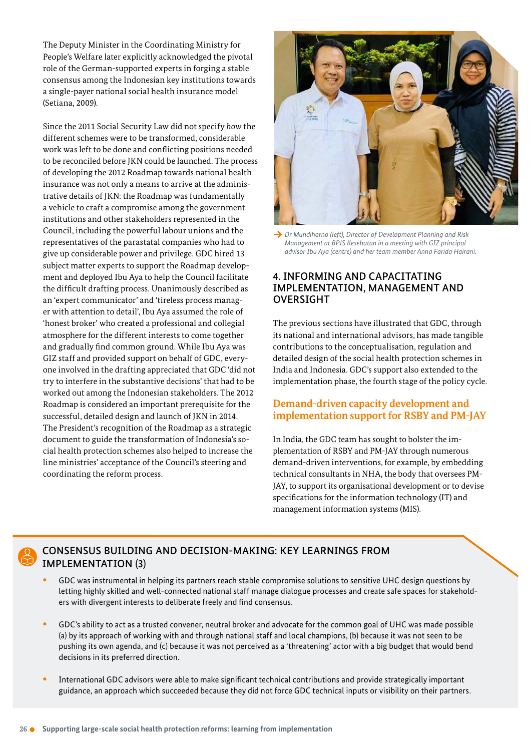The Deputy Minister in the Coordinating Ministry for People's Welfare later explicitly acknowledged the pivotal role of the German-supported experts in forging a stable consensus among the Indonesian key institutions towards a single-payer national social health insurance model (Setiana, 2009).

Since the 2011 Social Security Law did not specify *how* the different schemes were to be transformed, considerable work was left to be done and conflicting positions needed to be reconciled before JKN could be launched. The process of developing the 2012 Roadmap towards national health insurance was not only a means to arrive at the administrative details of JKN: the Roadmap was fundamentally a vehicle to craft a compromise among the government institutions and other stakeholders represented in the Council, including the powerful labour unions and the representatives of the parastatal companies who had to give up considerable power and privilege. GDC hired 13 subject matter experts to support the Roadmap development and deployed Ibu Aya to help the Council facilitate the difficult drafting process. Unanimously described as an 'expert communicator' and 'tireless process manager with attention to detail', Ibu Aya assumed the role of 'honest broker' who created a professional and collegial atmosphere for the different interests to come together and gradually find common ground. While Ibu Aya was GIZ staff and provided support on behalf of GDC, everyone involved in the drafting appreciated that GDC 'did not try to interfere in the substantive decisions' that had to be worked out among the Indonesian stakeholders. The 2012 Roadmap is considered an important prerequisite for the successful, detailed design and launch of JKN in 2014. The President's recognition of the Roadmap as a strategic document to guide the transformation of Indonesia's social health protection schemes also helped to increase the line ministries' acceptance of the Council's steering and coordinating the reform process.



**→** *Dr Mundiharno (left), Director of Development Planning and Risk Management at BPJS Kesehatan in a meeting with GIZ principal advisor Ibu Aya (centre) and her team member Anna Farida Hairani.*

#### 4. INFORMING AND CAPACITATING IMPLEMENTATION, MANAGEMENT AND OVERSIGHT

The previous sections have illustrated that GDC, through its national and international advisors, has made tangible contributions to the conceptualisation, regulation and detailed design of the social health protection schemes in India and Indonesia. GDC's support also extended to the implementation phase, the fourth stage of the policy cycle.

#### **Demand-driven capacity development and implementation support for RSBY and PM-JAY**

In India, the GDC team has sought to bolster the implementation of RSBY and PM-JAY through numerous demand-driven interventions, for example, by embedding technical consultants in NHA, the body that oversees PM-JAY, to support its organisational development or to devise specifications for the information technology (IT) and management information systems (MIS).

### CONSENSUS BUILDING AND DECISION-MAKING: KEY LEARNINGS FROM IMPLEMENTATION (3)

- GDC was instrumental in helping its partners reach stable compromise solutions to sensitive UHC design questions by letting highly skilled and well-connected national staff manage dialogue processes and create safe spaces for stakeholders with divergent interests to deliberate freely and find consensus.
- GDC's ability to act as a trusted convener, neutral broker and advocate for the common goal of UHC was made possible (a) by its approach of working with and through national staff and local champions, (b) because it was not seen to be pushing its own agenda, and (c) because it was not perceived as a 'threatening' actor with a big budget that would bend decisions in its preferred direction.
- International GDC advisors were able to make significant technical contributions and provide strategically important guidance, an approach which succeeded because they did not force GDC technical inputs or visibility on their partners.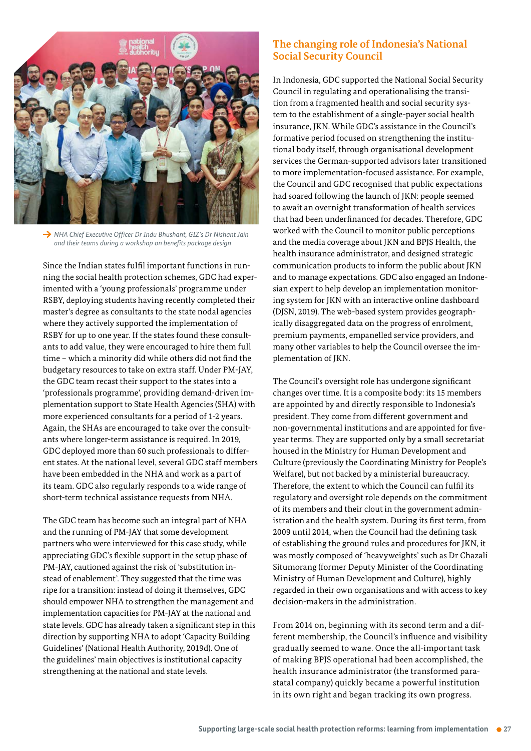

**→** NHA Chief Executive Officer Dr Indu Bhushant, GIZ's Dr Nishant Jain  *and their teams during a workshop on benefits package design*

Since the Indian states fulfil important functions in running the social health protection schemes, GDC had experimented with a 'young professionals' programme under RSBY, deploying students having recently completed their master's degree as consultants to the state nodal agencies where they actively supported the implementation of RSBY for up to one year. If the states found these consultants to add value, they were encouraged to hire them full time – which a minority did while others did not find the budgetary resources to take on extra staff. Under PM-JAY, the GDC team recast their support to the states into a 'professionals programme', providing demand-driven implementation support to State Health Agencies (SHA) with more experienced consultants for a period of 12 years. Again, the SHAs are encouraged to take over the consultants where longer-term assistance is required. In 2019, GDC deployed more than 60 such professionals to different states. At the national level, several GDC staff members have been embedded in the NHA and work as a part of its team. GDC also regularly responds to a wide range of short-term technical assistance requests from NHA.

The GDC team has become such an integral part of NHA and the running of PM-JAY that some development partners who were interviewed for this case study, while appreciating GDC's flexible support in the setup phase of PM-JAY, cautioned against the risk of 'substitution instead of enablement'. They suggested that the time was ripe for a transition: instead of doing it themselves, GDC should empower NHA to strengthen the management and implementation capacities for PM-JAY at the national and state levels. GDC has already taken a significant step in this direction by supporting NHA to adopt 'Capacity Building Guidelines' (National Health Authority, 2019d). One of the guidelines' main objectives is institutional capacity strengthening at the national and state levels.

#### **The changing role of Indonesia's National Social Security Council**

In Indonesia, GDC supported the National Social Security Council in regulating and operationalising the transition from a fragmented health and social security system to the establishment of a single-payer social health insurance, JKN. While GDC's assistance in the Council's formative period focused on strengthening the institutional body itself, through organisational development services the German-supported advisors later transitioned to more implementation-focused assistance. For example, the Council and GDC recognised that public expectations had soared following the launch of JKN: people seemed to await an overnight transformation of health services that had been underfinanced for decades. Therefore, GDC worked with the Council to monitor public perceptions and the media coverage about JKN and BPJS Health, the health insurance administrator, and designed strategic communication products to inform the public about JKN and to manage expectations. GDC also engaged an Indonesian expert to help develop an implementation monitoring system for JKN with an interactive online dashboard (DJSN, 2019). The web-based system provides geographically disaggregated data on the progress of enrolment, premium payments, empanelled service providers, and many other variables to help the Council oversee the implementation of JKN.

The Council's oversight role has undergone significant changes over time. It is a composite body: its 15 members are appointed by and directly responsible to Indonesia's president. They come from different government and non-governmental institutions and are appointed for fiveyear terms. They are supported only by a small secretariat housed in the Ministry for Human Development and Culture (previously the Coordinating Ministry for People's Welfare), but not backed by a ministerial bureaucracy. Therefore, the extent to which the Council can fulfil its regulatory and oversight role depends on the commitment of its members and their clout in the government administration and the health system. During its first term, from 2009 until 2014, when the Council had the defining task of establishing the ground rules and procedures for JKN, it was mostly composed of 'heavyweights' such as Dr Chazali Situmorang (former Deputy Minister of the Coordinating Ministry of Human Development and Culture), highly regarded in their own organisations and with access to key decision-makers in the administration.

From 2014 on, beginning with its second term and a different membership, the Council's influence and visibility gradually seemed to wane. Once the all-important task of making BPJS operational had been accomplished, the health insurance administrator (the transformed parastatal company) quickly became a powerful institution in its own right and began tracking its own progress.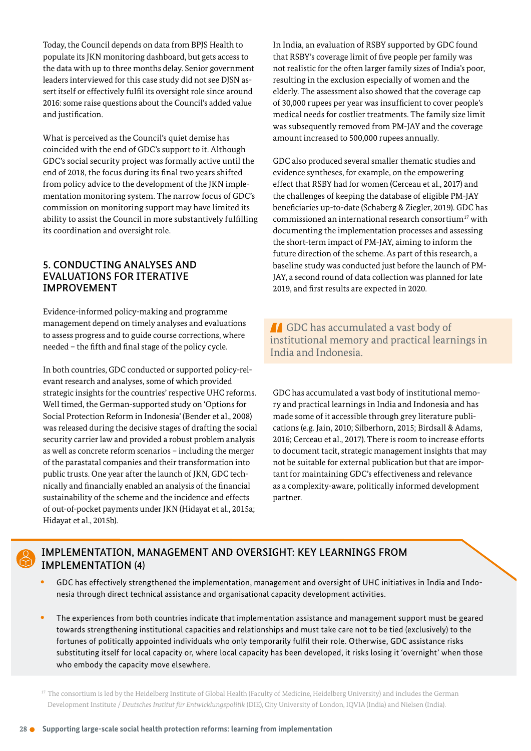Today, the Council depends on data from BPJS Health to populate its JKN monitoring dashboard, but gets access to the data with up to three months delay. Senior government leaders interviewed for this case study did not see DJSN assert itself or effectively fulfil its oversight role since around 2016: some raise questions about the Council's added value and justification.

What is perceived as the Council's quiet demise has coincided with the end of GDC's support to it. Although GDC's social security project was formally active until the end of 2018, the focus during its final two years shifted from policy advice to the development of the JKN implementation monitoring system. The narrow focus of GDC's commission on monitoring support may have limited its ability to assist the Council in more substantively fulfilling its coordination and oversight role.

#### 5. CONDUCTING ANALYSES AND EVALUATIONS FOR ITERATIVE IMPROVEMENT

Evidence-informed policy-making and programme management depend on timely analyses and evaluations to assess progress and to guide course corrections, where needed – the fifth and final stage of the policy cycle.

In both countries, GDC conducted or supported policy-relevant research and analyses, some of which provided strategic insights for the countries' respective UHC reforms. Well timed, the German-supported study on 'Options for Social Protection Reform in Indonesia' (Bender et al., 2008) was released during the decisive stages of drafting the social security carrier law and provided a robust problem analysis as well as concrete reform scenarios – including the merger of the parastatal companies and their transformation into public trusts. One year after the launch of JKN, GDC technically and financially enabled an analysis of the financial sustainability of the scheme and the incidence and effects of out-of-pocket payments under JKN (Hidayat et al., 2015a; Hidayat et al., 2015b).

In India, an evaluation of RSBY supported by GDC found that RSBY's coverage limit of five people per family was not realistic for the often larger family sizes of India's poor, resulting in the exclusion especially of women and the elderly. The assessment also showed that the coverage cap of 30,000 rupees per year was insufficient to cover people's medical needs for costlier treatments. The family size limit was subsequently removed from PM-JAY and the coverage amount increased to 500,000 rupees annually.

GDC also produced several smaller thematic studies and evidence syntheses, for example, on the empowering effect that RSBY had for women (Cerceau et al., 2017) and the challenges of keeping the database of eligible PM-JAY beneficiaries up-to-date (Schaberg & Ziegler, 2019). GDC has commissioned an international research consortium<sup>17</sup> with documenting the implementation processes and assessing the short-term impact of PM-JAY, aiming to inform the future direction of the scheme. As part of this research, a baseline study was conducted just before the launch of PM-JAY, a second round of data collection was planned for late 2019, and first results are expected in 2020.

**A** GDC has accumulated a vast body of institutional memory and practical learnings in India and Indonesia.

GDC has accumulated a vast body of institutional memory and practical learnings in India and Indonesia and has made some of it accessible through grey literature publications (e.g. Jain, 2010; Silberhorn, 2015; Birdsall & Adams, 2016; Cerceau et al., 2017). There is room to increase efforts to document tacit, strategic management insights that may not be suitable for external publication but that are important for maintaining GDC's effectiveness and relevance as a complexity-aware, politically informed development partner.



### IMPLEMENTATION, MANAGEMENT AND OVERSIGHT: KEY LEARNINGS FROM IMPLEMENTATION (4)

- GDC has effectively strengthened the implementation, management and oversight of UHC initiatives in India and Indonesia through direct technical assistance and organisational capacity development activities.
- The experiences from both countries indicate that implementation assistance and management support must be geared towards strengthening institutional capacities and relationships and must take care not to be tied (exclusively) to the fortunes of politically appointed individuals who only temporarily fulfil their role. Otherwise, GDC assistance risks substituting itself for local capacity or, where local capacity has been developed, it risks losing it 'overnight' when those who embody the capacity move elsewhere.

<sup>17</sup> The consortium is led by the Heidelberg Institute of Global Health (Faculty of Medicine, Heidelberg University) and includes the German Development Institute / *Deutsches Institut für Entwicklungspolitik* (DIE), City University of London, IQVIA (India) and Nielsen (India).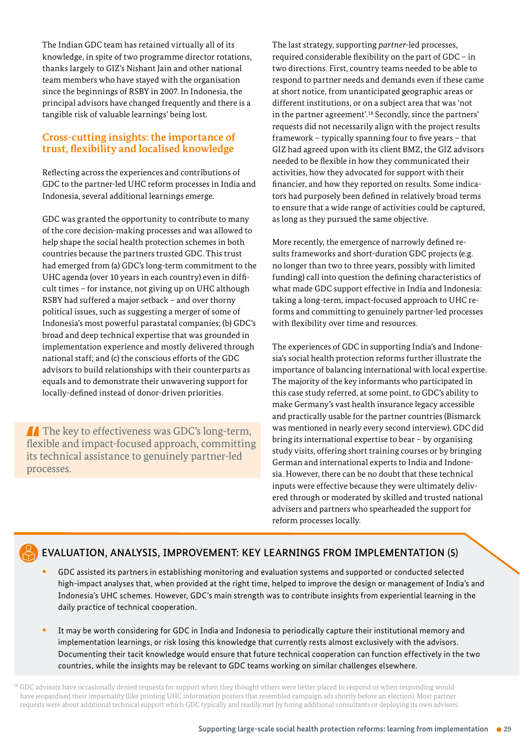The Indian GDC team has retained virtually all of its knowledge, in spite of two programme director rotations, thanks largely to GIZ's Nishant Jain and other national team members who have stayed with the organisation since the beginnings of RSBY in 2007. In Indonesia, the principal advisors have changed frequently and there is a tangible risk of valuable learnings' being lost.

#### **Cross-cutting insights: the importance of trust, flexibility and localised knowledge**

Reflecting across the experiences and contributions of GDC to the partner-led UHC reform processes in India and Indonesia, several additional learnings emerge.

GDC was granted the opportunity to contribute to many of the core decision-making processes and was allowed to help shape the social health protection schemes in both countries because the partners trusted GDC. This trust had emerged from (a) GDC's long-term commitment to the UHC agenda (over 10 years in each country) even in difficult times – for instance, not giving up on UHC although RSBY had suffered a major setback – and over thorny political issues, such as suggesting a merger of some of Indonesia's most powerful parastatal companies; (b) GDC's broad and deep technical expertise that was grounded in implementation experience and mostly delivered through national staff; and (c) the conscious efforts of the GDC advisors to build relationships with their counterparts as equals and to demonstrate their unwavering support for locally-defined instead of donor-driven priorities.

 $\blacksquare$  The key to effectiveness was GDC's long-term, flexible and impact-focused approach, committing its technical assistance to genuinely partner-led processes.

The last strategy, supporting *partner*led processes, required considerable flexibility on the part of GDC – in two directions. First, country teams needed to be able to respond to partner needs and demands even if these came at short notice, from unanticipated geographic areas or different institutions, or on a subject area that was 'not in the partner agreement'.<sup>18</sup> Secondly, since the partners' requests did not necessarily align with the project results framework – typically spanning four to five years – that GIZ had agreed upon with its client BMZ, the GIZ advisors needed to be flexible in how they communicated their activities, how they advocated for support with their financier, and how they reported on results. Some indicators had purposely been defined in relatively broad terms to ensure that a wide range of activities could be captured, as long as they pursued the same objective.

More recently, the emergence of narrowly defined results frameworks and short-duration GDC projects (e.g. no longer than two to three years, possibly with limited funding) call into question the defining characteristics of what made GDC support effective in India and Indonesia: taking a long-term, impact-focused approach to UHC reforms and committing to genuinely partner-led processes with flexibility over time and resources.

The experiences of GDC in supporting India's and Indonesia's social health protection reforms further illustrate the importance of balancing international with local expertise. The majority of the key informants who participated in this case study referred, at some point, to GDC's ability to make Germany's vast health insurance legacy accessible and practically usable for the partner countries (Bismarck was mentioned in nearly every second interview). GDC did bring its international expertise to bear – by organising study visits, offering short training courses or by bringing German and international experts to India and Indonesia. However, there can be no doubt that these technical inputs were effective because they were ultimately delivered through or moderated by skilled and trusted national advisers and partners who spearheaded the support for reform processes locally.

### EVALUATION, ANALYSIS, IMPROVEMENT: KEY LEARNINGS FROM IMPLEMENTATION (5)

- GDC assisted its partners in establishing monitoring and evaluation systems and supported or conducted selected high-impact analyses that, when provided at the right time, helped to improve the design or management of India's and Indonesia's UHC schemes. However, GDC's main strength was to contribute insights from experiential learning in the daily practice of technical cooperation.
- It may be worth considering for GDC in India and Indonesia to periodically capture their institutional memory and implementation learnings, or risk losing this knowledge that currently rests almost exclusively with the advisors. Documenting their tacit knowledge would ensure that future technical cooperation can function effectively in the two countries, while the insights may be relevant to GDC teams working on similar challenges elsewhere.

18 GDC advisors have occasionally denied requests for support when they thought others were better placed to respond or when responding would have jeopardised their impartiality (like printing UHC information posters that resembled campaign ads shortly before an election). Most partner requests were about additional technical support which GDC typically and readily met by hiring additional consultants or deploying its own advisers.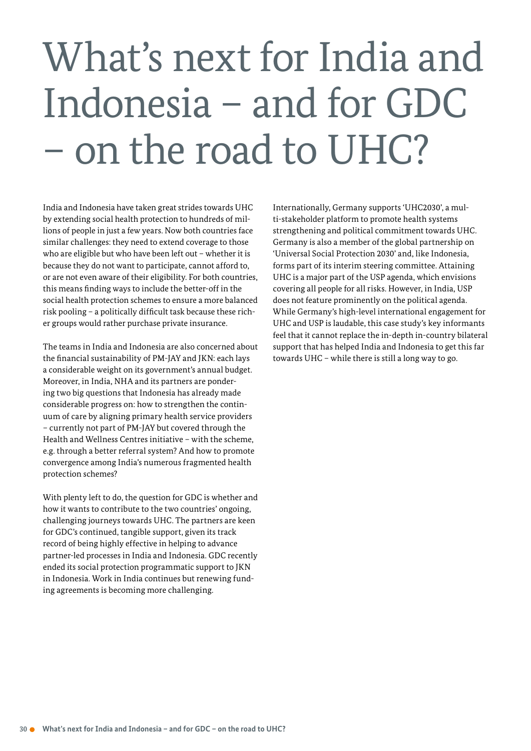# What's next for India and Indonesia – and for GDC – on the road to UHC?

India and Indonesia have taken great strides towards UHC by extending social health protection to hundreds of millions of people in just a few years. Now both countries face similar challenges: they need to extend coverage to those who are eligible but who have been left out – whether it is because they do not want to participate, cannot afford to, or are not even aware of their eligibility. For both countries, this means finding ways to include the better-off in the social health protection schemes to ensure a more balanced risk pooling – a politically difficult task because these richer groups would rather purchase private insurance.

The teams in India and Indonesia are also concerned about the financial sustainability of PM-JAY and JKN: each lays a considerable weight on its government's annual budget. Moreover, in India, NHA and its partners are pondering two big questions that Indonesia has already made considerable progress on: how to strengthen the continuum of care by aligning primary health service providers - currently not part of PM-JAY but covered through the Health and Wellness Centres initiative – with the scheme, e.g. through a better referral system? And how to promote convergence among India's numerous fragmented health protection schemes?

With plenty left to do, the question for GDC is whether and how it wants to contribute to the two countries' ongoing, challenging journeys towards UHC. The partners are keen for GDC's continued, tangible support, given its track record of being highly effective in helping to advance partner-led processes in India and Indonesia. GDC recently ended its social protection programmatic support to JKN in Indonesia. Work in India continues but renewing funding agreements is becoming more challenging.

Internationally, Germany supports 'UHC2030', a multi-stakeholder platform to promote health systems strengthening and political commitment towards UHC. Germany is also a member of the global partnership on 'Universal Social Protection 2030' and, like Indonesia, forms part of its interim steering committee. Attaining UHC is a major part of the USP agenda, which envisions covering all people for all risks. However, in India, USP does not feature prominently on the political agenda. While Germany's high-level international engagement for UHC and USP is laudable, this case study's key informants feel that it cannot replace the in-depth in-country bilateral support that has helped India and Indonesia to get this far towards UHC – while there is still a long way to go.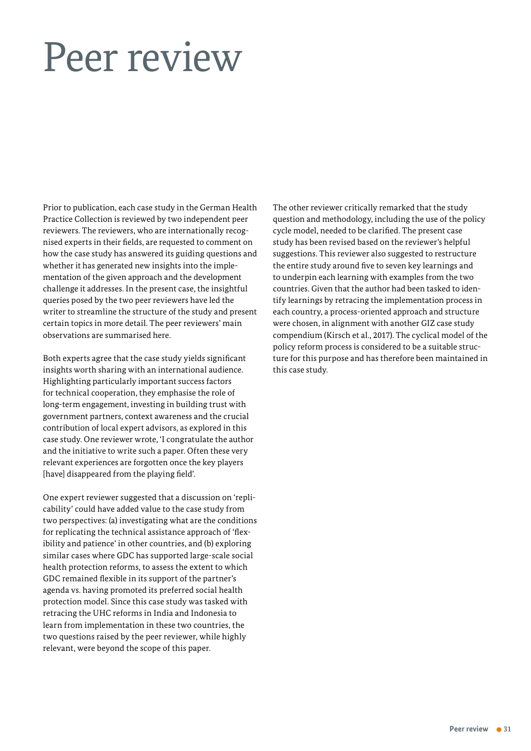## <span id="page-30-0"></span>Peer review

Prior to publication, each case study in the German Health Practice Collection is reviewed by two independent peer reviewers. The reviewers, who are internationally recognised experts in their fields, are requested to comment on how the case study has answered its guiding questions and whether it has generated new insights into the implementation of the given approach and the development challenge it addresses. In the present case, the insightful queries posed by the two peer reviewers have led the writer to streamline the structure of the study and present certain topics in more detail. The peer reviewers' main observations are summarised here.

Both experts agree that the case study yields significant insights worth sharing with an international audience. Highlighting particularly important success factors for technical cooperation, they emphasise the role of long-term engagement, investing in building trust with government partners, context awareness and the crucial contribution of local expert advisors, as explored in this case study. One reviewer wrote, 'I congratulate the author and the initiative to write such a paper. Often these very relevant experiences are forgotten once the key players [have] disappeared from the playing field'.

One expert reviewer suggested that a discussion on 'replicability' could have added value to the case study from two perspectives: (a) investigating what are the conditions for replicating the technical assistance approach of 'flexibility and patience' in other countries, and (b) exploring similar cases where GDC has supported large-scale social health protection reforms, to assess the extent to which GDC remained flexible in its support of the partner's agenda vs. having promoted its preferred social health protection model. Since this case study was tasked with retracing the UHC reforms in India and Indonesia to learn from implementation in these two countries, the two questions raised by the peer reviewer, while highly relevant, were beyond the scope of this paper.

The other reviewer critically remarked that the study question and methodology, including the use of the policy cycle model, needed to be clarified. The present case study has been revised based on the reviewer's helpful suggestions. This reviewer also suggested to restructure the entire study around five to seven key learnings and to underpin each learning with examples from the two countries. Given that the author had been tasked to identify learnings by retracing the implementation process in each country, a process-oriented approach and structure were chosen, in alignment with another GIZ case study compendium (Kirsch et al., 2017). The cyclical model of the policy reform process is considered to be a suitable structure for this purpose and has therefore been maintained in this case study.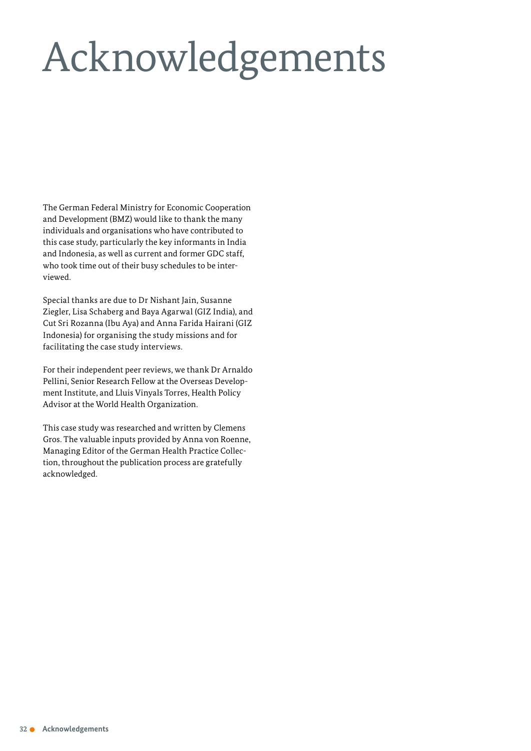# Acknowledgements

The German Federal Ministry for Economic Cooperation and Development (BMZ) would like to thank the many individuals and organisations who have contributed to this case study, particularly the key informants in India and Indonesia, as well as current and former GDC staff, who took time out of their busy schedules to be interviewed.

Special thanks are due to Dr Nishant Jain, Susanne Ziegler, Lisa Schaberg and Baya Agarwal (GIZ India), and Cut Sri Rozanna (Ibu Aya) and Anna Farida Hairani (GIZ Indonesia) for organising the study missions and for facilitating the case study interviews.

For their independent peer reviews, we thank Dr Arnaldo Pellini, Senior Research Fellow at the Overseas Development Institute, and Lluis Vinyals Torres, Health Policy Advisor at the World Health Organization.

This case study was researched and written by Clemens Gros. The valuable inputs provided by Anna von Roenne, Managing Editor of the German Health Practice Collection, throughout the publication process are gratefully acknowledged.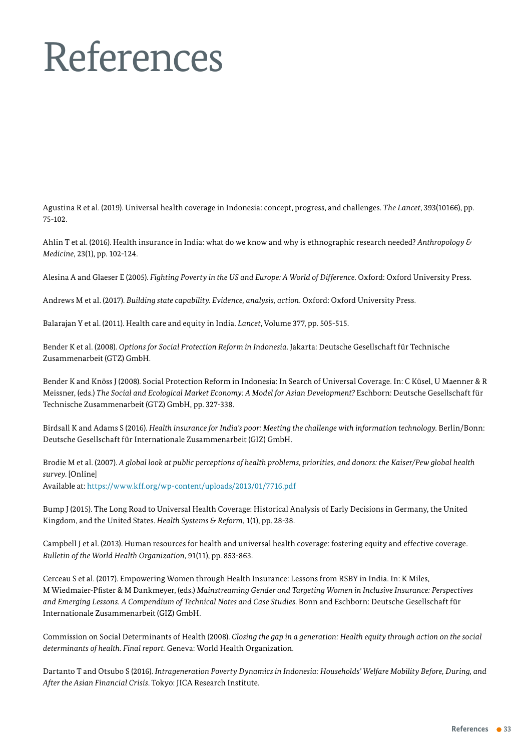# <span id="page-32-0"></span>References

Agustina R et al. (2019). Universal health coverage in Indonesia: concept, progress, and challenges. *The Lancet*, 393(10166), pp. 75-102.

Ahlin T et al. (2016). Health insurance in India: what do we know and why is ethnographic research needed? *Anthropology & Medicine*, 23(1), pp. 102-124.

Alesina A and Glaeser E (2005). *Fighting Poverty in the US and Europe: A World of Difference*. Oxford: Oxford University Press.

Andrews M et al. (2017). *Building state capability. Evidence, analysis, action*. Oxford: Oxford University Press.

Balarajan Y et al. (2011). Health care and equity in India. *Lancet*, Volume 377, pp. 505-515.

Bender K et al. (2008). *Options for Social Protection Reform in Indonesia*. Jakarta: Deutsche Gesellschaft für Technische Zusammenarbeit (GTZ) GmbH.

Bender K and Knöss J (2008). Social Protection Reform in Indonesia: In Search of Universal Coverage. In: C Küsel, U Maenner & R Meissner, (eds.) *The Social and Ecological Market Economy: A Model for Asian Development?* Eschborn: Deutsche Gesellschaft für Technische Zusammenarbeit (GTZ) GmbH, pp. 327-338.

Birdsall K and Adams S (2016). *Health insurance for India's poor: Meeting the challenge with information technology*. Berlin/Bonn: Deutsche Gesellschaft für Internationale Zusammenarbeit (GIZ) GmbH.

Brodie M et al. (2007). *A global look at public perceptions of health problems, priorities, and donors: the Kaiser/Pew global health survey*. [Online] Available at: https://www.kff.org/wp-content/uploads/2013/01/7716.pdf

Bump J (2015). The Long Road to Universal Health Coverage: Historical Analysis of Early Decisions in Germany, the United Kingdom, and the United States. *Health Systems & Reform*, 1(1), pp. 28-38.

Campbell J et al. (2013). Human resources for health and universal health coverage: fostering equity and effective coverage. *Bulletin of the World Health Organization*, 91(11), pp. 853-863.

Cerceau S et al. (2017). Empowering Women through Health Insurance: Lessons from RSBY in India. In: K Miles, M WiedmaierPfister & M Dankmeyer, (eds.) *Mainstreaming Gender and Targeting Women in Inclusive Insurance: Perspectives and Emerging Lessons. A Compendium of Technical Notes and Case Studies*. Bonn and Eschborn: Deutsche Gesellschaft für Internationale Zusammenarbeit (GIZ) GmbH.

Commission on Social Determinants of Health (2008). *Closing the gap in a generation: Health equity through action on the social determinants of health*. *Final report.* Geneva: World Health Organization.

Dartanto T and Otsubo S (2016). *Intrageneration Poverty Dynamics in Indonesia: Households' Welfare Mobility Before, During, and After the Asian Financial Crisis*. Tokyo: JICA Research Institute.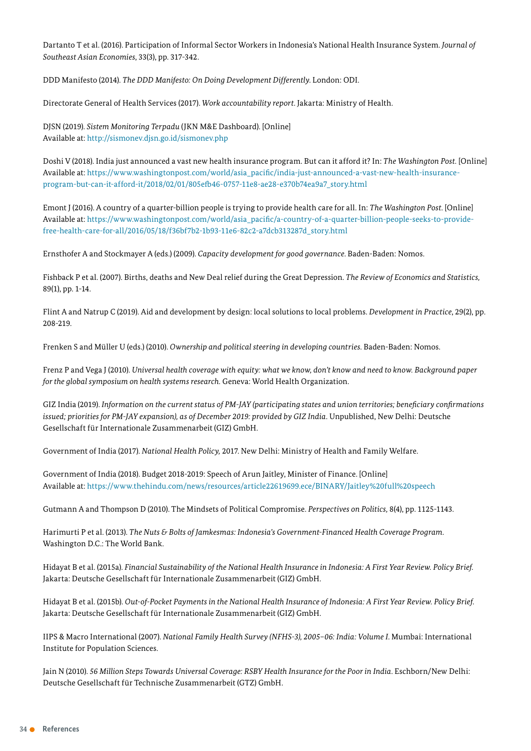Dartanto T et al. (2016). Participation of Informal Sector Workers in Indonesia's National Health Insurance System. *Journal of*  Southeast Asian Economies, 33(3), pp. 317-342.

DDD Manifesto (2014). *The DDD Manifesto: On Doing Development Differently*. London: ODI.

Directorate General of Health Services (2017). *Work accountability report*. Jakarta: Ministry of Health.

DJSN (2019). *Sistem Monitoring Terpadu* (JKN M&E Dashboard). [Online] Available at: http://sismonev.djsn.go.id/sismonev.php

Doshi V (2018). India just announced a vast new health insurance program. But can it afford it? In: *The Washington Post.* [Online] Available at: https://www.washingtonpost.com/world/asia\_pacific/india-just-announced-a-vast-new-health-insuranceprogram-but-can-it-afford-it/2018/02/01/805efb46-0757-11e8-ae28-e370b74ea9a7\_story.html

Emont J (2016). A country of a quarterbillion people is trying to provide health care for all. In: *The Washington Post*. [Online] Available at: https://www.washingtonpost.com/world/asia\_pacific/a-country-of-a-quarter-billion-people-seeks-to-providefree-health-care-for-all/2016/05/18/f36bf7b2-1b93-11e6-82c2-a7dcb313287d\_story.html

Ernsthofer A and Stockmayer A (eds.) (2009). *Capacity development for good governance*. Baden-Baden: Nomos.

Fishback P et al. (2007). Births, deaths and New Deal relief during the Great Depression. *The Review of Economics and Statistics,* 89(1), pp. 1-14.

Flint A and Natrup C (2019). Aid and development by design: local solutions to local problems. *Development in Practice*, 29(2), pp. 208219.

Frenken S and Müller U (eds.) (2010). *Ownership and political steering in developing countries*. Baden-Baden: Nomos.

Frenz P and Vega J (2010). *Universal health coverage with equity: what we know, don't know and need to know. Background paper for the global symposium on health systems research.* Geneva: World Health Organization.

GIZ India (2019). *Information on the current status of PMJAY (participating states and union territories; beneficiary confirmations issued; priorities for PMJAY expansion), as of December 2019: provided by GIZ India*. Unpublished, New Delhi: Deutsche Gesellschaft für Internationale Zusammenarbeit (GIZ) GmbH.

Government of India (2017). *National Health Policy,* 2017. New Delhi: Ministry of Health and Family Welfare.

Government of India (2018). Budget 2018-2019: Speech of Arun Jaitley, Minister of Finance. [Online] Available at: <https://www.thehindu.com/news/resources/article22619699.ece/BINARY/Jaitley%20full%20speech>

Gutmann A and Thompson D (2010). The Mindsets of Political Compromise. *Perspectives on Politics*, 8(4), pp. 1125-1143.

Harimurti P et al. (2013). *The Nuts & Bolts of Jamkesmas: Indonesia's Government-Financed Health Coverage Program.* Washington D.C.: The World Bank.

Hidayat B et al. (2015a). *Financial Sustainability of the National Health Insurance in Indonesia: A First Year Review. Policy Brief.*  Jakarta: Deutsche Gesellschaft für Internationale Zusammenarbeit (GIZ) GmbH.

Hidayat B et al. (2015b). *Out-of-Pocket Payments in the National Health Insurance of Indonesia: A First Year Review. Policy Brief.* Jakarta: Deutsche Gesellschaft für Internationale Zusammenarbeit (GIZ) GmbH.

IIPS & Macro International (2007). *National Family Health Survey (NFHS3), 2005–06: India: Volume I*. Mumbai: International Institute for Population Sciences.

Jain N (2010). *56 Million Steps Towards Universal Coverage: RSBY Health Insurance for the Poor in India*. Eschborn/New Delhi: Deutsche Gesellschaft für Technische Zusammenarbeit (GTZ) GmbH.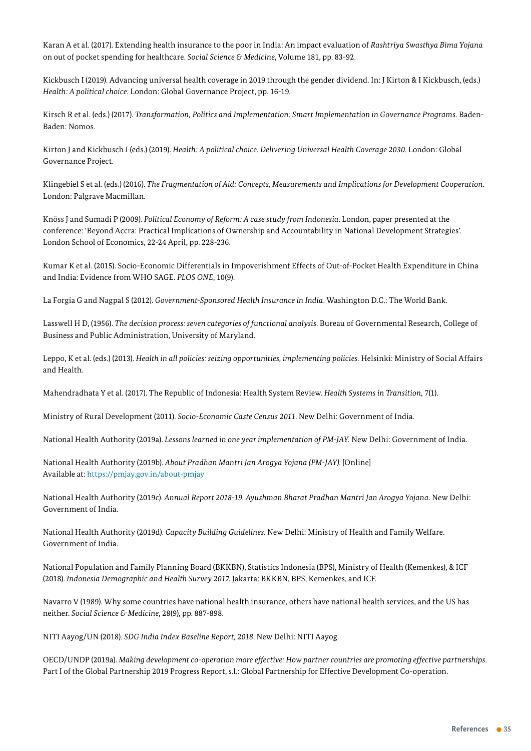Karan A et al. (2017). Extending health insurance to the poor in India: An impact evaluation of *Rashtriya Swasthya Bima Yojana* on out of pocket spending for healthcare. *Social Science & Medicine*, Volume 181, pp. 83-92.

Kickbusch I (2019). Advancing universal health coverage in 2019 through the gender dividend. In: J Kirton & I Kickbusch, (eds.) *Health: A political choice. London: Global Governance Project, pp. 16-19.* 

Kirsch R et al. (eds.) (2017). *Transformation, Politics and Implementation: Smart Implementation in Governance Programs*. Baden-Baden: Nomos.

Kirton J and Kickbusch I (eds.) (2019). *Health: A political choice. Delivering Universal Health Coverage 2030*. London: Global Governance Project.

Klingebiel S et al. (eds.) (2016). *The Fragmentation of Aid: Concepts, Measurements and Implications for Development Cooperation*. London: Palgrave Macmillan.

Knöss J and Sumadi P (2009). *Political Economy of Reform: A case study from Indonesia*. London, paper presented at the conference: 'Beyond Accra: Practical Implications of Ownership and Accountability in National Development Strategies'. London School of Economics, 22-24 April, pp. 228-236.

Kumar K et al. (2015). Socio-Economic Differentials in Impoverishment Effects of Out-of-Pocket Health Expenditure in China and India: Evidence from WHO SAGE. *PLOS ONE*, 10(9).

La Forgia G and Nagpal S (2012). *Government-Sponsored Health Insurance in India*. Washington D.C.: The World Bank.

Lasswell H D, (1956). *The decision process: seven categories of functional analysis*. Bureau of Governmental Research, College of Business and Public Administration, University of Maryland.

Leppo, K et al. (eds.) (2013). *Health in all policies: seizing opportunities, implementing policies.* Helsinki: Ministry of Social Affairs and Health.

Mahendradhata Y et al. (2017). The Republic of Indonesia: Health System Review. *Health Systems in Transition,* 7(1).

Ministry of Rural Development (2011). *Socio-Economic Caste Census 2011*. New Delhi: Government of India.

National Health Authority (2019a). *Lessons learned in one year implementation of PMJAY.* New Delhi: Government of India.

National Health Authority (2019b). *About Pradhan Mantri Jan Arogya Yojana (PMJAY)*. [Online] Available at: https://pmjay.gov.in/about-pmjay

National Health Authority (2019c). *Annual Report 201819. Ayushman Bharat Pradhan Mantri Jan Arogya Yojana*. New Delhi: Government of India.

National Health Authority (2019d). *Capacity Building Guidelines*. New Delhi: Ministry of Health and Family Welfare. Government of India.

National Population and Family Planning Board (BKKBN), Statistics Indonesia (BPS), Ministry of Health (Kemenkes), & ICF (2018). *Indonesia Demographic and Health Survey 2017.* Jakarta: BKKBN, BPS, Kemenkes, and ICF.

Navarro V (1989). Why some countries have national health insurance, others have national health services, and the US has neither. *Social Science & Medicine*, 28(9), pp. 887-898.

NITI Aayog/UN (2018). *SDG India Index Baseline Report, 2018*. New Delhi: NITI Aayog.

OECD/UNDP (2019a). *Making development cooperation more effective: How partner countries are promoting effective partnerships*. Part I of the Global Partnership 2019 Progress Report, s.l.: Global Partnership for Effective Development Co-operation.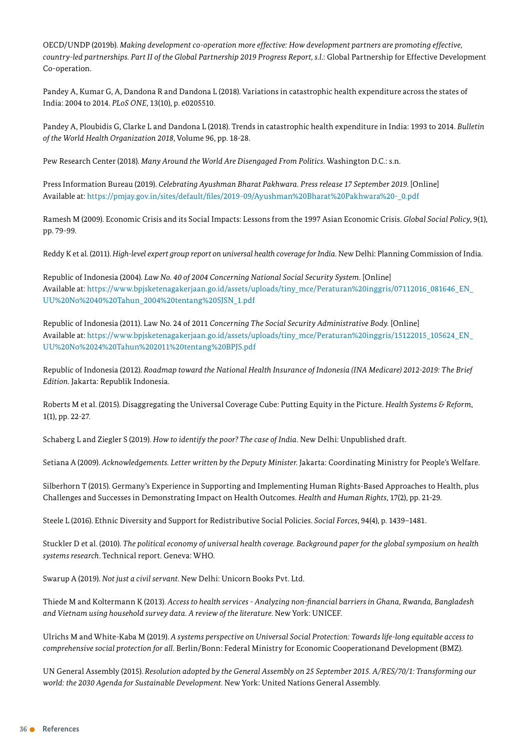OECD/UNDP (2019b). *Making development cooperation more effective: How development partners are promoting effective, countryled partnerships. Part II of the Global Partnership 2019 Progress Report, s.l*.: Global Partnership for Effective Development Co-operation.

Pandey A, Kumar G, A, Dandona R and Dandona L (2018). Variations in catastrophic health expenditure across the states of India: 2004 to 2014. *PLoS ONE*, 13(10), p. e0205510.

Pandey A, Ploubidis G, Clarke L and Dandona L (2018). Trends in catastrophic health expenditure in India: 1993 to 2014. *Bulletin*  of the World Health Organization 2018, Volume 96, pp. 18-28.

Pew Research Center (2018). *Many Around the World Are Disengaged From Politics*. Washington D.C.: s.n.

Press Information Bureau (2019). *Celebrating Ayushman Bharat Pakhwara. Press release 17 September 2019*. [Online] Available at: https://pmjay.gov.in/sites/default/files/2019-09/Ayushman%20Bharat%20Pakhwara%20-0.pdf

Ramesh M (2009). Economic Crisis and its Social Impacts: Lessons from the 1997 Asian Economic Crisis. *Global Social Policy*, 9(1), pp. 79-99.

Reddy K et al. (2011). *Highlevel expert group report on universal health coverage for India*. New Delhi: Planning Commission of India.

Republic of Indonesia (2004). *Law No. 40 of 2004 Concerning National Social Security System*. [Online] Available at: [https://www.bpjsketenagakerjaan.go.id/assets/uploads/tiny\\_mce/Peraturan%20inggris/07112016\\_081646\\_EN\\_](https://www.bpjsketenagakerjaan.go.id/assets/uploads/tiny_mce/Peraturan%20inggris/07112016_081646_EN_UU%20No%2040%20Tahun_2004%20tentang%20SJSN_1.pdf) [UU%20No%2040%20Tahun\\_2004%20tentang%20SJSN\\_1.pdf](https://www.bpjsketenagakerjaan.go.id/assets/uploads/tiny_mce/Peraturan%20inggris/07112016_081646_EN_UU%20No%2040%20Tahun_2004%20tentang%20SJSN_1.pdf)

Republic of Indonesia (2011). Law No. 24 of 2011 *Concerning The Social Security Administrative Body.* [Online] Available at: https://www.bpjsketenagakerjaan.go.id/assets/uploads/tiny\_mce/Peraturan%20inggris/15122015\_105624\_EN [UU%20No%2024%20Tahun%202011%20tentang%20BPJS.pdf](https://www.bpjsketenagakerjaan.go.id/assets/uploads/tiny_mce/Peraturan%20inggris/15122015_105624_EN_UU%20No%2024%20Tahun%202011%20tentang%20BPJS.pdf)

Republic of Indonesia (2012). *Roadmap toward the National Health Insurance of Indonesia (INA Medicare) 20122019: The Brief Edition*. Jakarta: Republik Indonesia.

Roberts M et al. (2015). Disaggregating the Universal Coverage Cube: Putting Equity in the Picture. *Health Systems & Reform*, 1(1), pp. 22-27.

Schaberg L and Ziegler S (2019). *How to identify the poor? The case of India*. New Delhi: Unpublished draft.

Setiana A (2009). *Acknowledgements. Letter written by the Deputy Minister.* Jakarta: Coordinating Ministry for People's Welfare.

Silberhorn T (2015). Germany's Experience in Supporting and Implementing Human Rights-Based Approaches to Health, plus Challenges and Successes in Demonstrating Impact on Health Outcomes. *Health and Human Rights*, 17(2), pp. 2129.

Steele L (2016). Ethnic Diversity and Support for Redistributive Social Policies. *Social Forces*, 94(4), p. 1439–1481.

Stuckler D et al. (2010). *The political economy of universal health coverage. Background paper for the global symposium on health systems research*. Technical report. Geneva: WHO.

Swarup A (2019). *Not just a civil servant*. New Delhi: Unicorn Books Pvt. Ltd.

Thiede M and Koltermann K (2013). *Access to health services Analyzing nonfinancial barriers in Ghana, Rwanda, Bangladesh and Vietnam using household survey data. A review of the literature*. New York: UNICEF.

Ulrichs M and White-Kaba M (2019). A systems perspective on Universal Social Protection: Towards life-long equitable access to *comprehensive social protection for all*. Berlin/Bonn: Federal Ministry for Economic Cooperationand Development (BMZ).

UN General Assembly (2015). *Resolution adopted by the General Assembly on 25 September 2015. A/RES/70/1: Transforming our world: the 2030 Agenda for Sustainable Development*. New York: United Nations General Assembly.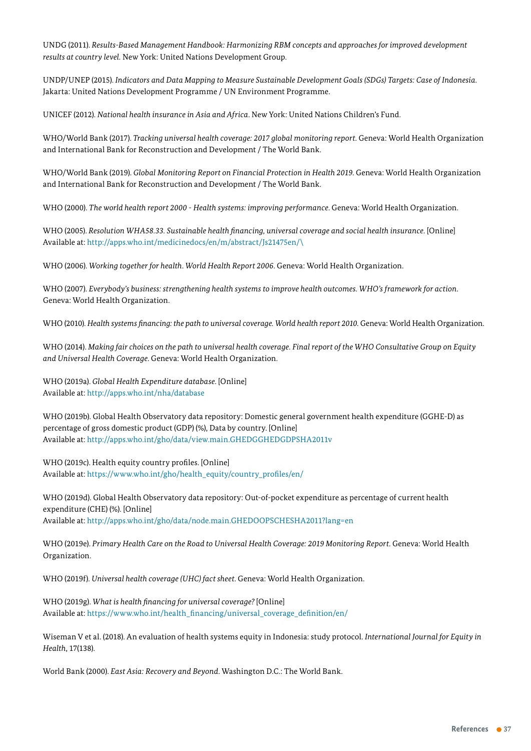UNDG (2011). *Results-Based Management Handbook: Harmonizing RBM concepts and approaches for improved development results at country level.* New York: United Nations Development Group.

UNDP/UNEP (2015). *Indicators and Data Mapping to Measure Sustainable Development Goals (SDGs) Targets: Case of Indonesia*. Jakarta: United Nations Development Programme / UN Environment Programme.

UNICEF (2012). *National health insurance in Asia and Africa*. New York: United Nations Children's Fund.

WHO/World Bank (2017). *Tracking universal health coverage: 2017 global monitoring report*. Geneva: World Health Organization and International Bank for Reconstruction and Development / The World Bank.

WHO/World Bank (2019). *Global Monitoring Report on Financial Protection in Health 2019*. Geneva: World Health Organization and International Bank for Reconstruction and Development / The World Bank.

WHO (2000). *The world health report 2000 Health systems: improving performance*. Geneva: World Health Organization.

WHO (2005). *Resolution WHA58.33. Sustainable health financing, universal coverage and social health insurance*. [Online] Available at: [http://apps.who.int/medicinedocs/en/m/abstract/Js21475en/\](https://apps.who.int/medicinedocs/en/m/abstract/Js21475en//)

WHO (2006). *Working together for health*. *World Health Report 2006*. Geneva: World Health Organization.

WHO (2007). *Everybody's business: strengthening health systems to improve health outcomes. WHO's framework for action*. Geneva: World Health Organization.

WHO (2010). *Health systems financing: the path to universal coverage. World health report 2010*. Geneva: World Health Organization.

WHO (2014). *Making fair choices on the path to universal health coverage. Final report of the WHO Consultative Group on Equity and Universal Health Coverage*. Geneva: World Health Organization.

WHO (2019a). *Global Health Expenditure database*. [Online] Available at: <http://apps.who.int/nha/database>

WHO (2019b). Global Health Observatory data repository: Domestic general government health expenditure (GGHE-D) as percentage of gross domestic product (GDP) (%), Data by country. [Online] Available at: <http://apps.who.int/gho/data/view.main.GHEDGGHEDGDPSHA2011v>

WHO (2019c). Health equity country profiles. [Online] Available at: [https://www.who.int/gho/health\\_equity/country\\_profiles/en/](https://www.who.int/gho/health_equity/country_profiles/en/)

WHO (2019d). Global Health Observatory data repository: Out-of-pocket expenditure as percentage of current health expenditure (CHE) (%). [Online] Available at: <http://apps.who.int/gho/data/node.main.GHEDOOPSCHESHA2011?lang=en>

WHO (2019e). *Primary Health Care on the Road to Universal Health Coverage: 2019 Monitoring Report*. Geneva: World Health Organization.

WHO (2019f). *Universal health coverage (UHC) fact sheet*. Geneva: World Health Organization.

WHO (2019g). *What is health financing for universal coverage?* [Online] Available at: [https://www.who.int/health\\_financing/universal\\_coverage\\_definition/en/](https://www.who.int/health_financing/universal_coverage_definition/en/)

Wiseman V et al. (2018). An evaluation of health systems equity in Indonesia: study protocol. *International Journal for Equity in Health*, 17(138).

World Bank (2000). *East Asia: Recovery and Beyond*. Washington D.C.: The World Bank.